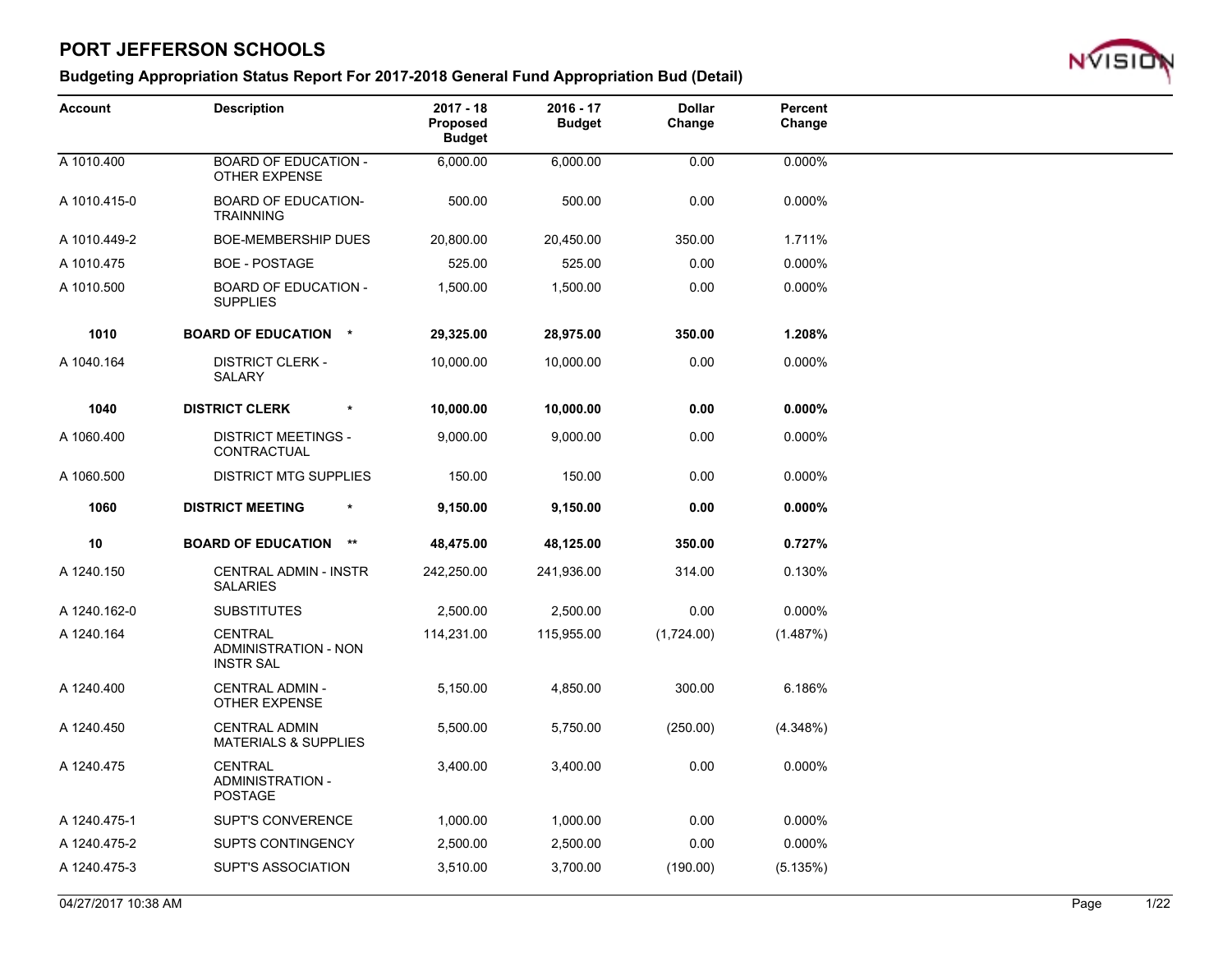

| <b>Account</b> | <b>Description</b>                                                | $2017 - 18$<br>Proposed<br><b>Budget</b> | $2016 - 17$<br><b>Budget</b> | <b>Dollar</b><br>Change | Percent<br>Change |  |
|----------------|-------------------------------------------------------------------|------------------------------------------|------------------------------|-------------------------|-------------------|--|
| A 1010.400     | <b>BOARD OF EDUCATION -</b><br>OTHER EXPENSE                      | 6,000.00                                 | 6,000.00                     | 0.00                    | 0.000%            |  |
| A 1010.415-0   | <b>BOARD OF EDUCATION-</b><br><b>TRAINNING</b>                    | 500.00                                   | 500.00                       | 0.00                    | 0.000%            |  |
| A 1010.449-2   | BOE-MEMBERSHIP DUES                                               | 20,800.00                                | 20,450.00                    | 350.00                  | 1.711%            |  |
| A 1010.475     | <b>BOE - POSTAGE</b>                                              | 525.00                                   | 525.00                       | 0.00                    | 0.000%            |  |
| A 1010.500     | <b>BOARD OF EDUCATION -</b><br><b>SUPPLIES</b>                    | 1,500.00                                 | 1,500.00                     | 0.00                    | 0.000%            |  |
| 1010           | <b>BOARD OF EDUCATION *</b>                                       | 29,325.00                                | 28,975.00                    | 350.00                  | 1.208%            |  |
| A 1040.164     | <b>DISTRICT CLERK -</b><br><b>SALARY</b>                          | 10,000.00                                | 10,000.00                    | 0.00                    | 0.000%            |  |
| 1040           | <b>DISTRICT CLERK</b><br>$\pmb{\ast}$                             | 10,000.00                                | 10,000.00                    | 0.00                    | $0.000\%$         |  |
| A 1060.400     | <b>DISTRICT MEETINGS -</b><br>CONTRACTUAL                         | 9,000.00                                 | 9,000.00                     | 0.00                    | 0.000%            |  |
| A 1060.500     | <b>DISTRICT MTG SUPPLIES</b>                                      | 150.00                                   | 150.00                       | 0.00                    | 0.000%            |  |
| 1060           | <b>DISTRICT MEETING</b><br>$\star$                                | 9,150.00                                 | 9,150.00                     | 0.00                    | $0.000\%$         |  |
| 10             | <b>BOARD OF EDUCATION **</b>                                      | 48,475.00                                | 48,125.00                    | 350.00                  | 0.727%            |  |
| A 1240.150     | <b>CENTRAL ADMIN - INSTR</b><br><b>SALARIES</b>                   | 242,250.00                               | 241,936.00                   | 314.00                  | 0.130%            |  |
| A 1240.162-0   | <b>SUBSTITUTES</b>                                                | 2,500.00                                 | 2,500.00                     | 0.00                    | 0.000%            |  |
| A 1240.164     | <b>CENTRAL</b><br><b>ADMINISTRATION - NON</b><br><b>INSTR SAL</b> | 114,231.00                               | 115,955.00                   | (1,724.00)              | (1.487%)          |  |
| A 1240.400     | CENTRAL ADMIN -<br>OTHER EXPENSE                                  | 5,150.00                                 | 4,850.00                     | 300.00                  | 6.186%            |  |
| A 1240.450     | <b>CENTRAL ADMIN</b><br><b>MATERIALS &amp; SUPPLIES</b>           | 5,500.00                                 | 5,750.00                     | (250.00)                | (4.348%)          |  |
| A 1240.475     | <b>CENTRAL</b><br><b>ADMINISTRATION -</b><br><b>POSTAGE</b>       | 3,400.00                                 | 3,400.00                     | 0.00                    | 0.000%            |  |
| A 1240.475-1   | <b>SUPT'S CONVERENCE</b>                                          | 1,000.00                                 | 1,000.00                     | 0.00                    | 0.000%            |  |
| A 1240.475-2   | <b>SUPTS CONTINGENCY</b>                                          | 2,500.00                                 | 2,500.00                     | 0.00                    | 0.000%            |  |
| A 1240.475-3   | <b>SUPT'S ASSOCIATION</b>                                         | 3,510.00                                 | 3,700.00                     | (190.00)                | (5.135%)          |  |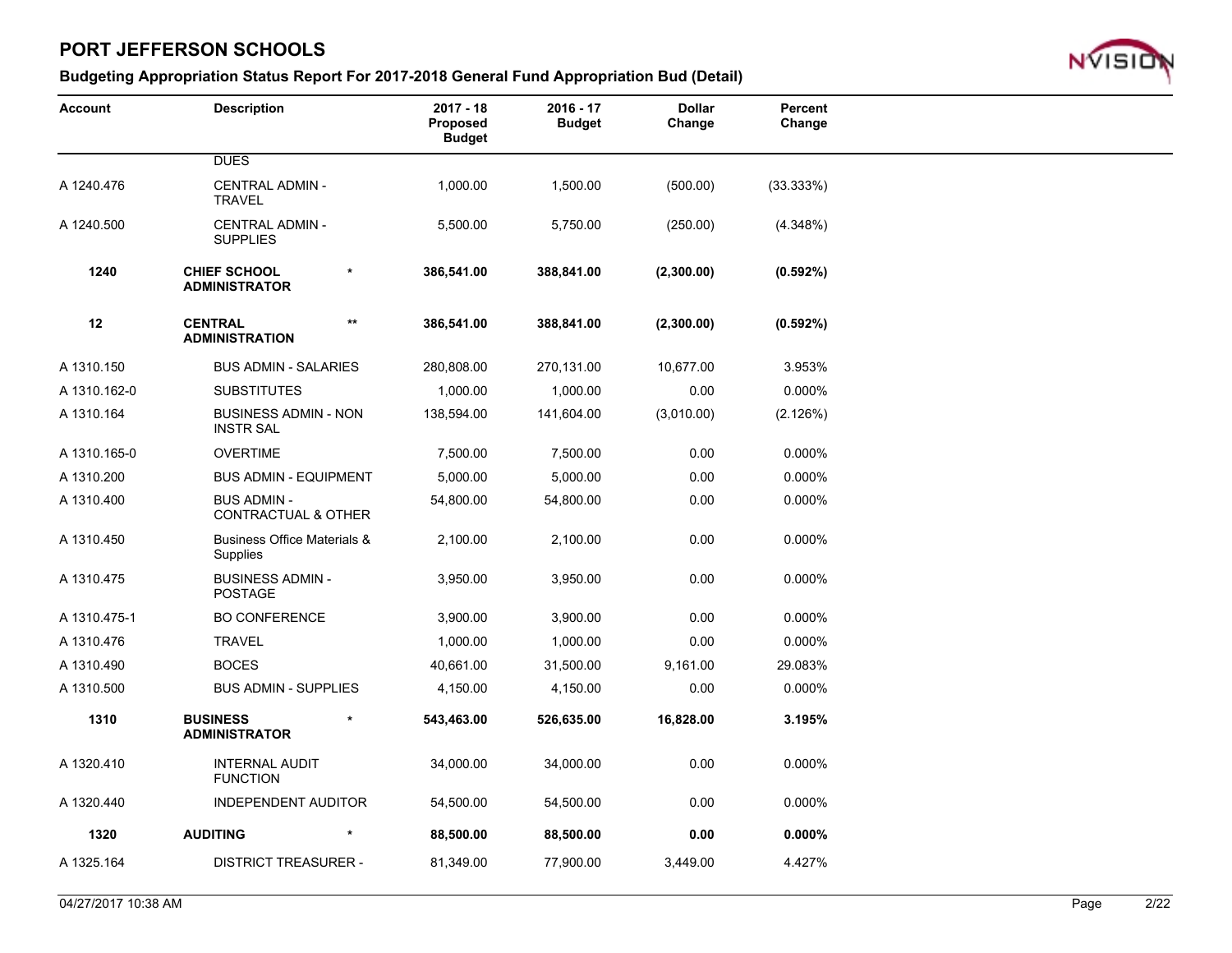

| <b>Account</b> | <b>Description</b>                                   |        | $2017 - 18$<br>Proposed<br><b>Budget</b> | $2016 - 17$<br><b>Budget</b> | <b>Dollar</b><br>Change | Percent<br>Change |  |
|----------------|------------------------------------------------------|--------|------------------------------------------|------------------------------|-------------------------|-------------------|--|
|                | <b>DUES</b>                                          |        |                                          |                              |                         |                   |  |
| A 1240.476     | <b>CENTRAL ADMIN -</b><br><b>TRAVEL</b>              |        | 1,000.00                                 | 1,500.00                     | (500.00)                | (33.333%)         |  |
| A 1240.500     | <b>CENTRAL ADMIN -</b><br><b>SUPPLIES</b>            |        | 5,500.00                                 | 5,750.00                     | (250.00)                | (4.348%)          |  |
| 1240           | <b>CHIEF SCHOOL</b><br><b>ADMINISTRATOR</b>          | $\ast$ | 386,541.00                               | 388,841.00                   | (2,300.00)              | (0.592%)          |  |
| 12             | <b>CENTRAL</b><br><b>ADMINISTRATION</b>              | $***$  | 386,541.00                               | 388,841.00                   | (2,300.00)              | $(0.592\%)$       |  |
| A 1310.150     | <b>BUS ADMIN - SALARIES</b>                          |        | 280,808.00                               | 270,131.00                   | 10,677.00               | 3.953%            |  |
| A 1310.162-0   | <b>SUBSTITUTES</b>                                   |        | 1,000.00                                 | 1,000.00                     | 0.00                    | 0.000%            |  |
| A 1310.164     | <b>BUSINESS ADMIN - NON</b><br><b>INSTR SAL</b>      |        | 138,594.00                               | 141,604.00                   | (3,010.00)              | (2.126%)          |  |
| A 1310.165-0   | <b>OVERTIME</b>                                      |        | 7,500.00                                 | 7,500.00                     | 0.00                    | 0.000%            |  |
| A 1310.200     | <b>BUS ADMIN - EQUIPMENT</b>                         |        | 5,000.00                                 | 5,000.00                     | 0.00                    | 0.000%            |  |
| A 1310.400     | <b>BUS ADMIN -</b><br><b>CONTRACTUAL &amp; OTHER</b> |        | 54,800.00                                | 54,800.00                    | 0.00                    | 0.000%            |  |
| A 1310.450     | <b>Business Office Materials &amp;</b><br>Supplies   |        | 2,100.00                                 | 2,100.00                     | 0.00                    | 0.000%            |  |
| A 1310.475     | <b>BUSINESS ADMIN-</b><br><b>POSTAGE</b>             |        | 3,950.00                                 | 3,950.00                     | 0.00                    | 0.000%            |  |
| A 1310.475-1   | <b>BO CONFERENCE</b>                                 |        | 3,900.00                                 | 3,900.00                     | 0.00                    | 0.000%            |  |
| A 1310.476     | <b>TRAVEL</b>                                        |        | 1,000.00                                 | 1,000.00                     | 0.00                    | 0.000%            |  |
| A 1310.490     | <b>BOCES</b>                                         |        | 40,661.00                                | 31,500.00                    | 9,161.00                | 29.083%           |  |
| A 1310.500     | <b>BUS ADMIN - SUPPLIES</b>                          |        | 4,150.00                                 | 4,150.00                     | 0.00                    | 0.000%            |  |
| 1310           | <b>BUSINESS</b><br><b>ADMINISTRATOR</b>              |        | 543,463.00                               | 526,635.00                   | 16,828.00               | 3.195%            |  |
| A 1320.410     | <b>INTERNAL AUDIT</b><br><b>FUNCTION</b>             |        | 34,000.00                                | 34,000.00                    | 0.00                    | 0.000%            |  |
| A 1320.440     | <b>INDEPENDENT AUDITOR</b>                           |        | 54,500.00                                | 54,500.00                    | 0.00                    | 0.000%            |  |
| 1320           | <b>AUDITING</b>                                      |        | 88,500.00                                | 88,500.00                    | 0.00                    | $0.000\%$         |  |
| A 1325.164     | <b>DISTRICT TREASURER -</b>                          |        | 81,349.00                                | 77,900.00                    | 3,449.00                | 4.427%            |  |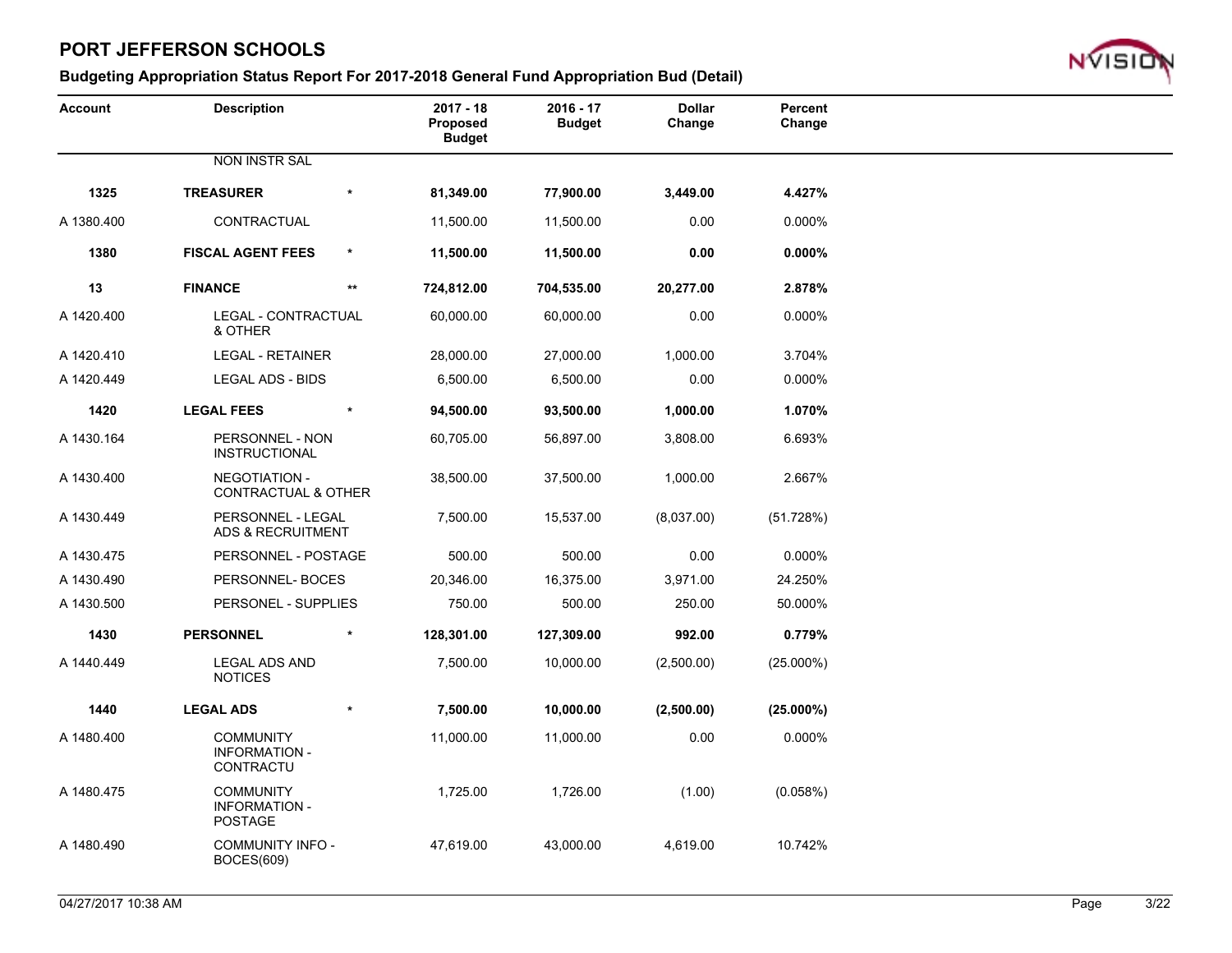

| <b>Account</b> | <b>Description</b>                                         |        | $2017 - 18$<br>Proposed<br><b>Budget</b> | $2016 - 17$<br><b>Budget</b> | <b>Dollar</b><br>Change | Percent<br>Change |
|----------------|------------------------------------------------------------|--------|------------------------------------------|------------------------------|-------------------------|-------------------|
|                | <b>NON INSTR SAL</b>                                       |        |                                          |                              |                         |                   |
| 1325           | <b>TREASURER</b>                                           | $\ast$ | 81,349.00                                | 77,900.00                    | 3,449.00                | 4.427%            |
| A 1380.400     | CONTRACTUAL                                                |        | 11,500.00                                | 11,500.00                    | 0.00                    | 0.000%            |
| 1380           | <b>FISCAL AGENT FEES</b>                                   | $\ast$ | 11,500.00                                | 11,500.00                    | 0.00                    | $0.000\%$         |
| 13             | <b>FINANCE</b>                                             | $***$  | 724,812.00                               | 704,535.00                   | 20,277.00               | 2.878%            |
| A 1420.400     | LEGAL - CONTRACTUAL<br>& OTHER                             |        | 60,000.00                                | 60,000.00                    | 0.00                    | 0.000%            |
| A 1420.410     | <b>LEGAL - RETAINER</b>                                    |        | 28,000.00                                | 27,000.00                    | 1,000.00                | 3.704%            |
| A 1420.449     | <b>LEGAL ADS - BIDS</b>                                    |        | 6,500.00                                 | 6,500.00                     | 0.00                    | 0.000%            |
| 1420           | <b>LEGAL FEES</b>                                          |        | 94,500.00                                | 93,500.00                    | 1,000.00                | 1.070%            |
| A 1430.164     | PERSONNEL - NON<br><b>INSTRUCTIONAL</b>                    |        | 60,705.00                                | 56,897.00                    | 3,808.00                | 6.693%            |
| A 1430.400     | NEGOTIATION -<br><b>CONTRACTUAL &amp; OTHER</b>            |        | 38,500.00                                | 37,500.00                    | 1,000.00                | 2.667%            |
| A 1430.449     | PERSONNEL - LEGAL<br><b>ADS &amp; RECRUITMENT</b>          |        | 7,500.00                                 | 15,537.00                    | (8,037.00)              | (51.728%)         |
| A 1430.475     | PERSONNEL - POSTAGE                                        |        | 500.00                                   | 500.00                       | 0.00                    | 0.000%            |
| A 1430.490     | PERSONNEL-BOCES                                            |        | 20,346.00                                | 16,375.00                    | 3,971.00                | 24.250%           |
| A 1430.500     | PERSONEL - SUPPLIES                                        |        | 750.00                                   | 500.00                       | 250.00                  | 50.000%           |
| 1430           | <b>PERSONNEL</b>                                           |        | 128,301.00                               | 127,309.00                   | 992.00                  | 0.779%            |
| A 1440.449     | <b>LEGAL ADS AND</b><br><b>NOTICES</b>                     |        | 7,500.00                                 | 10,000.00                    | (2,500.00)              | $(25.000\%)$      |
| 1440           | <b>LEGAL ADS</b>                                           | $\ast$ | 7,500.00                                 | 10,000.00                    | (2,500.00)              | $(25.000\%)$      |
| A 1480.400     | <b>COMMUNITY</b><br><b>INFORMATION -</b><br>CONTRACTU      |        | 11,000.00                                | 11,000.00                    | 0.00                    | 0.000%            |
| A 1480.475     | <b>COMMUNITY</b><br><b>INFORMATION -</b><br><b>POSTAGE</b> |        | 1,725.00                                 | 1,726.00                     | (1.00)                  | (0.058%)          |
| A 1480.490     | <b>COMMUNITY INFO -</b><br><b>BOCES(609)</b>               |        | 47,619.00                                | 43,000.00                    | 4,619.00                | 10.742%           |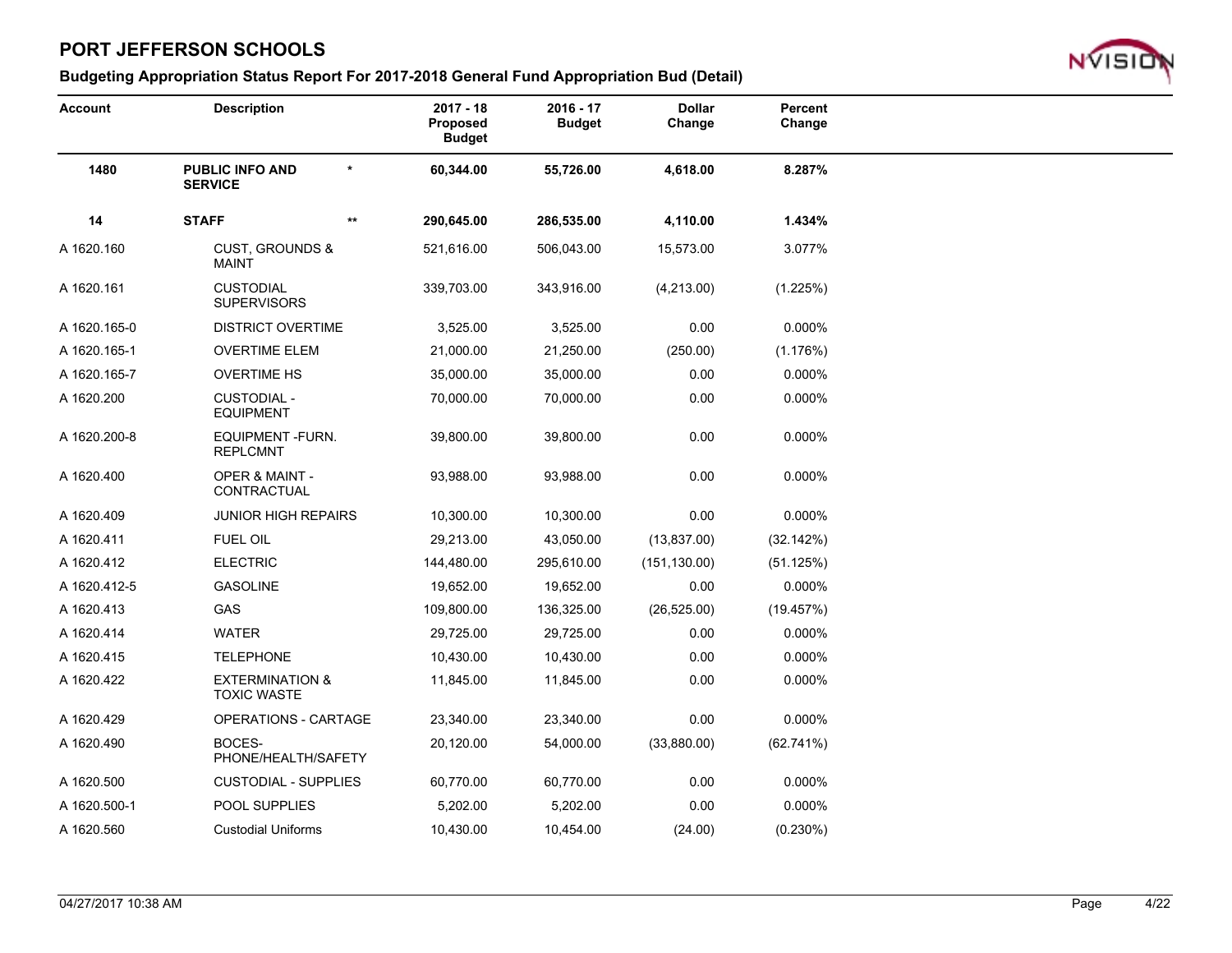

| <b>Account</b> | <b>Description</b>                               |              | $2017 - 18$<br><b>Proposed</b><br><b>Budget</b> | $2016 - 17$<br><b>Budget</b> | <b>Dollar</b><br>Change | Percent<br>Change |
|----------------|--------------------------------------------------|--------------|-------------------------------------------------|------------------------------|-------------------------|-------------------|
| 1480           | <b>PUBLIC INFO AND</b><br><b>SERVICE</b>         | $\star$      | 60,344.00                                       | 55,726.00                    | 4,618.00                | 8.287%            |
| 14             | <b>STAFF</b>                                     | $\star\star$ | 290,645.00                                      | 286,535.00                   | 4,110.00                | 1.434%            |
| A 1620.160     | <b>CUST, GROUNDS &amp;</b><br><b>MAINT</b>       |              | 521,616.00                                      | 506,043.00                   | 15,573.00               | 3.077%            |
| A 1620.161     | <b>CUSTODIAL</b><br><b>SUPERVISORS</b>           |              | 339,703.00                                      | 343,916.00                   | (4,213.00)              | (1.225%)          |
| A 1620.165-0   | <b>DISTRICT OVERTIME</b>                         |              | 3,525.00                                        | 3,525.00                     | 0.00                    | 0.000%            |
| A 1620.165-1   | <b>OVERTIME ELEM</b>                             |              | 21,000.00                                       | 21,250.00                    | (250.00)                | (1.176%)          |
| A 1620.165-7   | <b>OVERTIME HS</b>                               |              | 35,000.00                                       | 35,000.00                    | 0.00                    | 0.000%            |
| A 1620.200     | <b>CUSTODIAL -</b><br><b>EQUIPMENT</b>           |              | 70,000.00                                       | 70,000.00                    | 0.00                    | 0.000%            |
| A 1620.200-8   | EQUIPMENT-FURN.<br>REPLCMNT                      |              | 39,800.00                                       | 39,800.00                    | 0.00                    | 0.000%            |
| A 1620.400     | <b>OPER &amp; MAINT -</b><br>CONTRACTUAL         |              | 93,988.00                                       | 93,988.00                    | 0.00                    | 0.000%            |
| A 1620.409     | <b>JUNIOR HIGH REPAIRS</b>                       |              | 10,300.00                                       | 10,300.00                    | 0.00                    | 0.000%            |
| A 1620.411     | <b>FUEL OIL</b>                                  |              | 29,213.00                                       | 43,050.00                    | (13, 837.00)            | (32.142%)         |
| A 1620.412     | <b>ELECTRIC</b>                                  |              | 144,480.00                                      | 295,610.00                   | (151, 130.00)           | (51.125%)         |
| A 1620.412-5   | <b>GASOLINE</b>                                  |              | 19,652.00                                       | 19,652.00                    | 0.00                    | 0.000%            |
| A 1620.413     | GAS                                              |              | 109,800.00                                      | 136,325.00                   | (26, 525.00)            | (19.457%)         |
| A 1620.414     | <b>WATER</b>                                     |              | 29,725.00                                       | 29,725.00                    | 0.00                    | 0.000%            |
| A 1620.415     | <b>TELEPHONE</b>                                 |              | 10,430.00                                       | 10,430.00                    | 0.00                    | 0.000%            |
| A 1620.422     | <b>EXTERMINATION &amp;</b><br><b>TOXIC WASTE</b> |              | 11,845.00                                       | 11,845.00                    | 0.00                    | 0.000%            |
| A 1620.429     | OPERATIONS - CARTAGE                             |              | 23,340.00                                       | 23,340.00                    | 0.00                    | 0.000%            |
| A 1620.490     | BOCES-<br>PHONE/HEALTH/SAFETY                    |              | 20,120.00                                       | 54,000.00                    | (33,880.00)             | (62.741%)         |
| A 1620.500     | <b>CUSTODIAL - SUPPLIES</b>                      |              | 60,770.00                                       | 60,770.00                    | 0.00                    | 0.000%            |
| A 1620.500-1   | POOL SUPPLIES                                    |              | 5,202.00                                        | 5,202.00                     | 0.00                    | 0.000%            |
| A 1620.560     | <b>Custodial Uniforms</b>                        |              | 10,430.00                                       | 10,454.00                    | (24.00)                 | $(0.230\%)$       |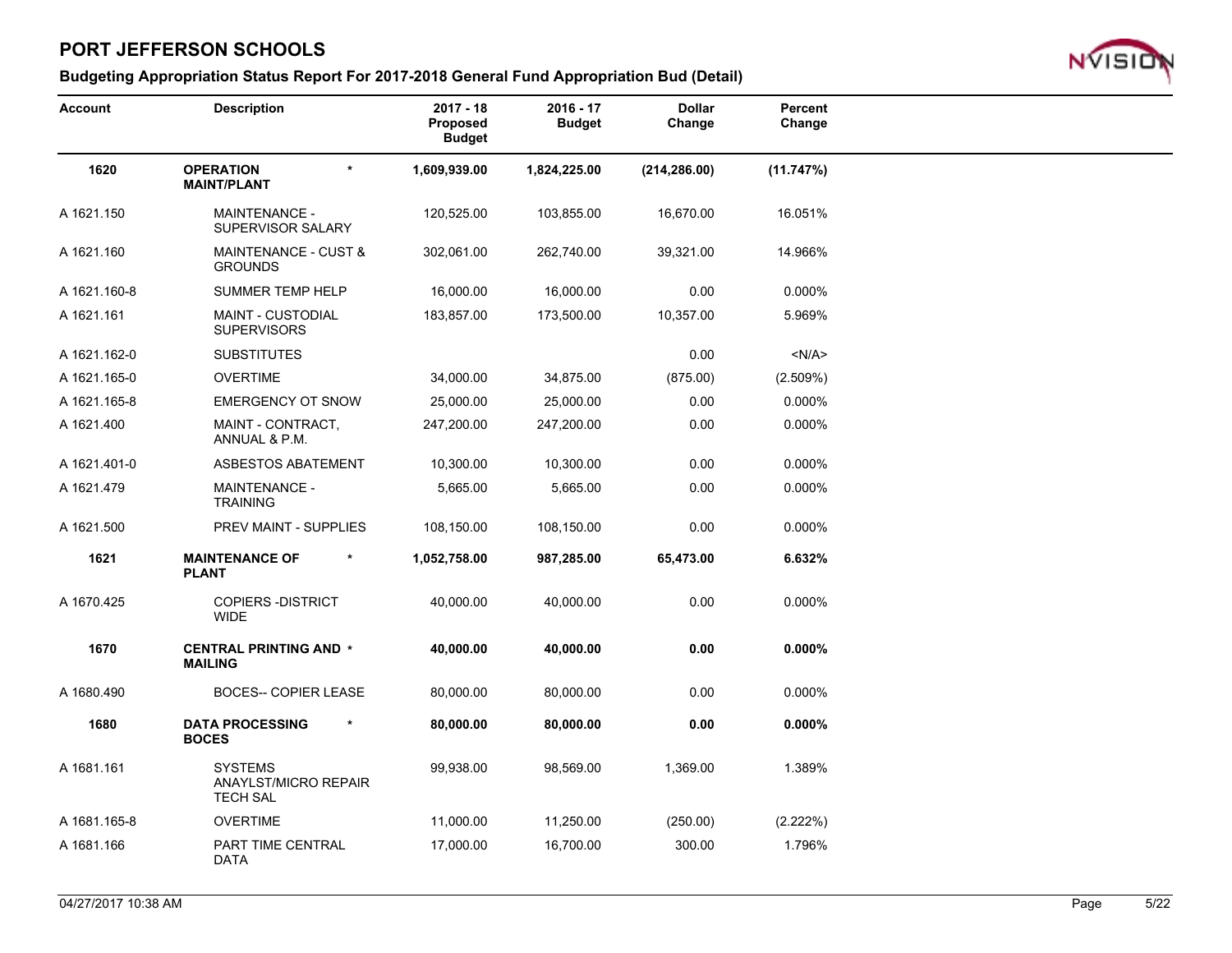

| <b>Account</b> | <b>Description</b>                                        | $2017 - 18$<br><b>Proposed</b><br><b>Budget</b> | $2016 - 17$<br><b>Budget</b> | <b>Dollar</b><br>Change | Percent<br>Change |
|----------------|-----------------------------------------------------------|-------------------------------------------------|------------------------------|-------------------------|-------------------|
| 1620           | <b>OPERATION</b><br>$\star$<br><b>MAINT/PLANT</b>         | 1,609,939.00                                    | 1,824,225.00                 | (214, 286.00)           | (11.747%)         |
| A 1621.150     | <b>MAINTENANCE -</b><br>SUPERVISOR SALARY                 | 120,525.00                                      | 103,855.00                   | 16,670.00               | 16.051%           |
| A 1621.160     | <b>MAINTENANCE - CUST &amp;</b><br><b>GROUNDS</b>         | 302,061.00                                      | 262,740.00                   | 39,321.00               | 14.966%           |
| A 1621.160-8   | SUMMER TEMP HELP                                          | 16,000.00                                       | 16,000.00                    | 0.00                    | 0.000%            |
| A 1621.161     | MAINT - CUSTODIAL<br><b>SUPERVISORS</b>                   | 183,857.00                                      | 173,500.00                   | 10,357.00               | 5.969%            |
| A 1621.162-0   | <b>SUBSTITUTES</b>                                        |                                                 |                              | 0.00                    | < N/A >           |
| A 1621.165-0   | <b>OVERTIME</b>                                           | 34,000.00                                       | 34,875.00                    | (875.00)                | (2.509%)          |
| A 1621.165-8   | <b>EMERGENCY OT SNOW</b>                                  | 25,000.00                                       | 25,000.00                    | 0.00                    | 0.000%            |
| A 1621.400     | MAINT - CONTRACT,<br>ANNUAL & P.M.                        | 247,200.00                                      | 247,200.00                   | 0.00                    | 0.000%            |
| A 1621.401-0   | <b>ASBESTOS ABATEMENT</b>                                 | 10,300.00                                       | 10,300.00                    | 0.00                    | 0.000%            |
| A 1621.479     | <b>MAINTENANCE -</b><br><b>TRAINING</b>                   | 5,665.00                                        | 5,665.00                     | 0.00                    | 0.000%            |
| A 1621.500     | PREV MAINT - SUPPLIES                                     | 108,150.00                                      | 108,150.00                   | 0.00                    | 0.000%            |
| 1621           | <b>MAINTENANCE OF</b><br>$\ast$<br><b>PLANT</b>           | 1,052,758.00                                    | 987,285.00                   | 65,473.00               | 6.632%            |
| A 1670.425     | <b>COPIERS - DISTRICT</b><br><b>WIDE</b>                  | 40,000.00                                       | 40,000.00                    | 0.00                    | 0.000%            |
| 1670           | <b>CENTRAL PRINTING AND *</b><br><b>MAILING</b>           | 40,000.00                                       | 40,000.00                    | 0.00                    | $0.000\%$         |
| A 1680.490     | <b>BOCES-- COPIER LEASE</b>                               | 80,000.00                                       | 80,000.00                    | 0.00                    | 0.000%            |
| 1680           | <b>DATA PROCESSING</b><br>*<br><b>BOCES</b>               | 80,000.00                                       | 80,000.00                    | 0.00                    | $0.000\%$         |
| A 1681.161     | <b>SYSTEMS</b><br>ANAYLST/MICRO REPAIR<br><b>TECH SAL</b> | 99,938.00                                       | 98,569.00                    | 1,369.00                | 1.389%            |
| A 1681.165-8   | <b>OVERTIME</b>                                           | 11,000.00                                       | 11,250.00                    | (250.00)                | (2.222%)          |
| A 1681.166     | PART TIME CENTRAL<br>DATA                                 | 17,000.00                                       | 16,700.00                    | 300.00                  | 1.796%            |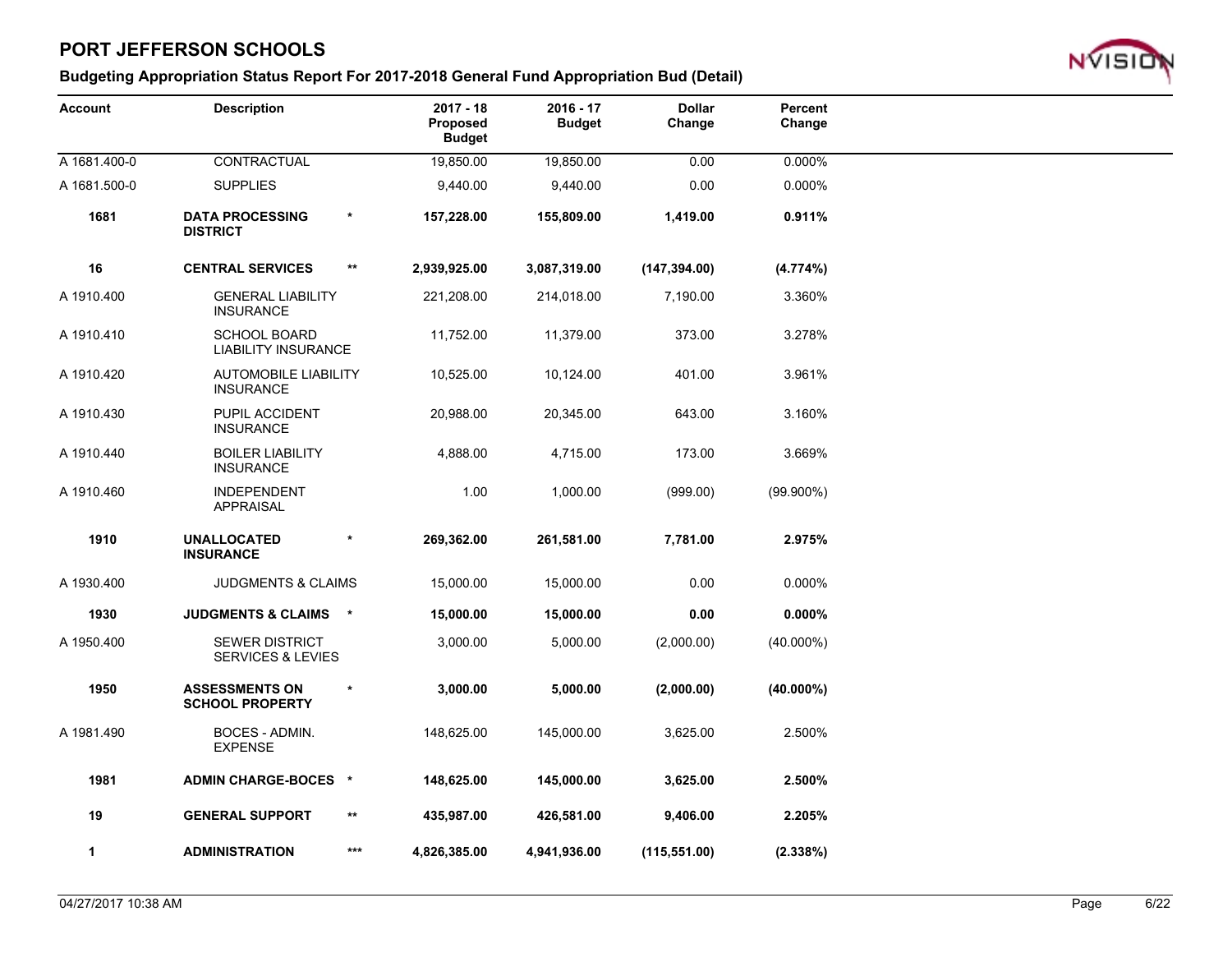

| <b>Account</b> | <b>Description</b>                                    |              | $2017 - 18$<br>Proposed<br><b>Budget</b> | $2016 - 17$<br><b>Budget</b> | <b>Dollar</b><br>Change | Percent<br>Change |  |
|----------------|-------------------------------------------------------|--------------|------------------------------------------|------------------------------|-------------------------|-------------------|--|
| A 1681.400-0   | CONTRACTUAL                                           |              | 19,850.00                                | 19,850.00                    | 0.00                    | 0.000%            |  |
| A 1681.500-0   | <b>SUPPLIES</b>                                       |              | 9,440.00                                 | 9,440.00                     | 0.00                    | 0.000%            |  |
| 1681           | <b>DATA PROCESSING</b><br><b>DISTRICT</b>             | $\star$      | 157,228.00                               | 155,809.00                   | 1,419.00                | 0.911%            |  |
| 16             | <b>CENTRAL SERVICES</b>                               | $\star\star$ | 2,939,925.00                             | 3,087,319.00                 | (147, 394.00)           | (4.774%)          |  |
| A 1910.400     | <b>GENERAL LIABILITY</b><br><b>INSURANCE</b>          |              | 221,208.00                               | 214,018.00                   | 7,190.00                | 3.360%            |  |
| A 1910.410     | <b>SCHOOL BOARD</b><br><b>LIABILITY INSURANCE</b>     |              | 11,752.00                                | 11,379.00                    | 373.00                  | 3.278%            |  |
| A 1910.420     | <b>AUTOMOBILE LIABILITY</b><br><b>INSURANCE</b>       |              | 10,525.00                                | 10,124.00                    | 401.00                  | 3.961%            |  |
| A 1910.430     | PUPIL ACCIDENT<br><b>INSURANCE</b>                    |              | 20,988.00                                | 20,345.00                    | 643.00                  | 3.160%            |  |
| A 1910.440     | <b>BOILER LIABILITY</b><br><b>INSURANCE</b>           |              | 4,888.00                                 | 4,715.00                     | 173.00                  | 3.669%            |  |
| A 1910.460     | <b>INDEPENDENT</b><br><b>APPRAISAL</b>                |              | 1.00                                     | 1,000.00                     | (999.00)                | $(99.900\%)$      |  |
| 1910           | <b>UNALLOCATED</b><br><b>INSURANCE</b>                | $\star$      | 269,362.00                               | 261,581.00                   | 7,781.00                | 2.975%            |  |
| A 1930.400     | <b>JUDGMENTS &amp; CLAIMS</b>                         |              | 15,000.00                                | 15,000.00                    | 0.00                    | 0.000%            |  |
| 1930           | <b>JUDGMENTS &amp; CLAIMS</b>                         | $\star$      | 15,000.00                                | 15,000.00                    | 0.00                    | $0.000\%$         |  |
| A 1950.400     | <b>SEWER DISTRICT</b><br><b>SERVICES &amp; LEVIES</b> |              | 3,000.00                                 | 5,000.00                     | (2,000.00)              | $(40.000\%)$      |  |
| 1950           | <b>ASSESSMENTS ON</b><br><b>SCHOOL PROPERTY</b>       | $\star$      | 3,000.00                                 | 5,000.00                     | (2,000.00)              | $(40.000\%)$      |  |
| A 1981.490     | BOCES - ADMIN.<br><b>EXPENSE</b>                      |              | 148,625.00                               | 145,000.00                   | 3,625.00                | 2.500%            |  |
| 1981           | <b>ADMIN CHARGE-BOCES *</b>                           |              | 148,625.00                               | 145,000.00                   | 3,625.00                | 2.500%            |  |
| 19             | <b>GENERAL SUPPORT</b>                                | $\star\star$ | 435,987.00                               | 426,581.00                   | 9,406.00                | 2.205%            |  |
| 1              | <b>ADMINISTRATION</b>                                 | $***$        | 4,826,385.00                             | 4,941,936.00                 | (115, 551.00)           | (2.338%)          |  |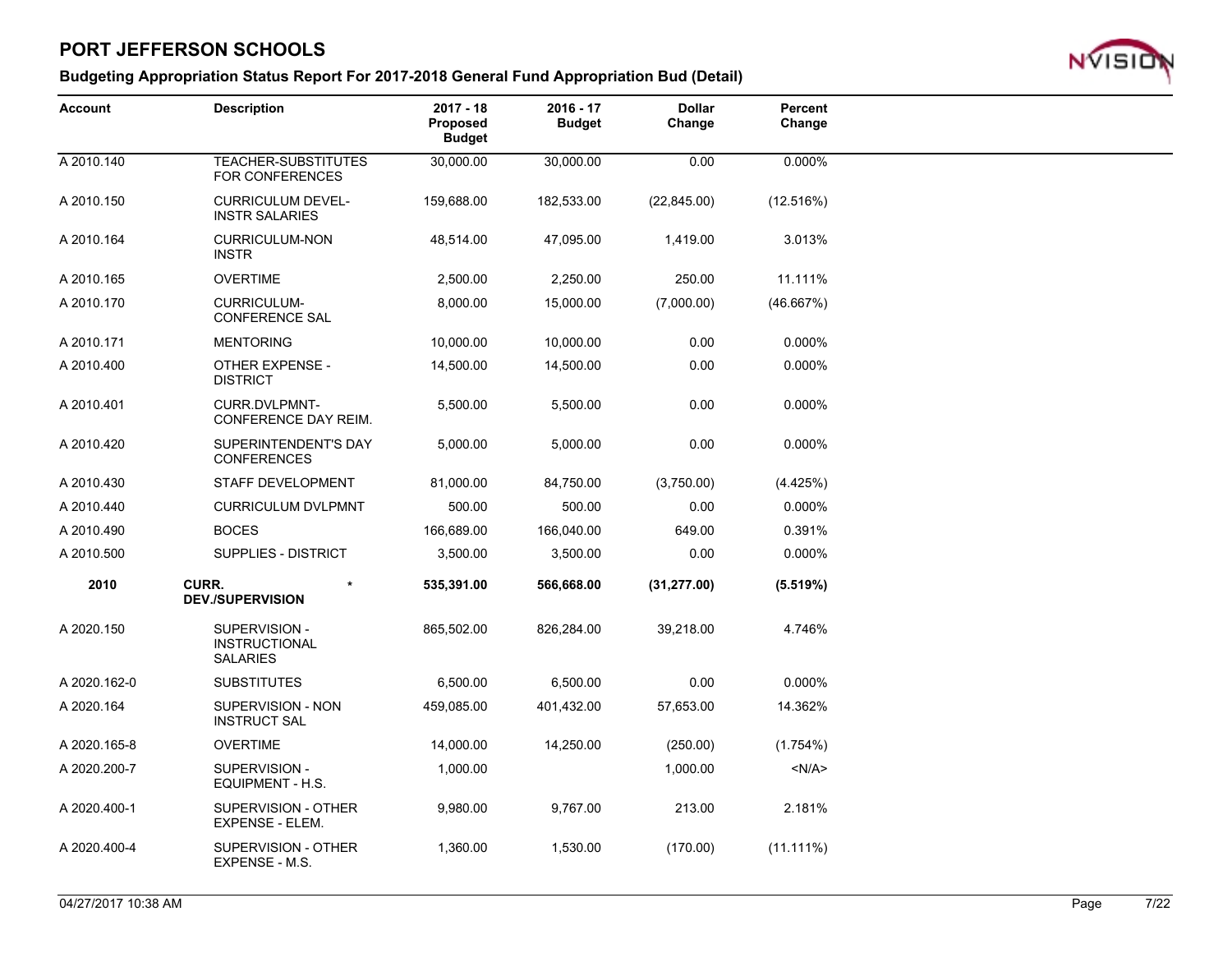

| <b>Account</b> | <b>Description</b>                                       | $2017 - 18$<br>Proposed<br><b>Budget</b> | $2016 - 17$<br><b>Budget</b> | <b>Dollar</b><br>Change | Percent<br>Change |  |
|----------------|----------------------------------------------------------|------------------------------------------|------------------------------|-------------------------|-------------------|--|
| A 2010.140     | TEACHER-SUBSTITUTES<br><b>FOR CONFERENCES</b>            | 30,000.00                                | 30,000.00                    | 0.00                    | 0.000%            |  |
| A 2010.150     | <b>CURRICULUM DEVEL-</b><br><b>INSTR SALARIES</b>        | 159,688.00                               | 182,533.00                   | (22, 845.00)            | (12.516%)         |  |
| A 2010.164     | <b>CURRICULUM-NON</b><br><b>INSTR</b>                    | 48,514.00                                | 47,095.00                    | 1,419.00                | 3.013%            |  |
| A 2010.165     | <b>OVERTIME</b>                                          | 2,500.00                                 | 2,250.00                     | 250.00                  | 11.111%           |  |
| A 2010.170     | <b>CURRICULUM-</b><br><b>CONFERENCE SAL</b>              | 8,000.00                                 | 15,000.00                    | (7,000.00)              | (46.667%)         |  |
| A 2010.171     | <b>MENTORING</b>                                         | 10,000.00                                | 10,000.00                    | 0.00                    | 0.000%            |  |
| A 2010.400     | OTHER EXPENSE -<br><b>DISTRICT</b>                       | 14,500.00                                | 14,500.00                    | 0.00                    | 0.000%            |  |
| A 2010.401     | CURR.DVLPMNT-<br>CONFERENCE DAY REIM.                    | 5,500.00                                 | 5,500.00                     | 0.00                    | 0.000%            |  |
| A 2010.420     | SUPERINTENDENT'S DAY<br><b>CONFERENCES</b>               | 5,000.00                                 | 5,000.00                     | 0.00                    | 0.000%            |  |
| A 2010.430     | STAFF DEVELOPMENT                                        | 81,000.00                                | 84,750.00                    | (3,750.00)              | (4.425%)          |  |
| A 2010.440     | <b>CURRICULUM DVLPMNT</b>                                | 500.00                                   | 500.00                       | 0.00                    | 0.000%            |  |
| A 2010.490     | <b>BOCES</b>                                             | 166,689.00                               | 166,040.00                   | 649.00                  | 0.391%            |  |
| A 2010.500     | <b>SUPPLIES - DISTRICT</b>                               | 3,500.00                                 | 3,500.00                     | 0.00                    | 0.000%            |  |
| 2010           | CURR.<br>$\ast$<br><b>DEV./SUPERVISION</b>               | 535,391.00                               | 566,668.00                   | (31, 277.00)            | (5.519%)          |  |
| A 2020.150     | SUPERVISION -<br><b>INSTRUCTIONAL</b><br><b>SALARIES</b> | 865,502.00                               | 826,284.00                   | 39,218.00               | 4.746%            |  |
| A 2020.162-0   | <b>SUBSTITUTES</b>                                       | 6,500.00                                 | 6,500.00                     | 0.00                    | 0.000%            |  |
| A 2020.164     | SUPERVISION - NON<br><b>INSTRUCT SAL</b>                 | 459,085.00                               | 401,432.00                   | 57,653.00               | 14.362%           |  |
| A 2020.165-8   | <b>OVERTIME</b>                                          | 14,000.00                                | 14,250.00                    | (250.00)                | (1.754%)          |  |
| A 2020.200-7   | SUPERVISION -<br>EQUIPMENT - H.S.                        | 1,000.00                                 |                              | 1,000.00                | $<$ N/A $>$       |  |
| A 2020.400-1   | SUPERVISION - OTHER<br><b>EXPENSE - ELEM.</b>            | 9,980.00                                 | 9,767.00                     | 213.00                  | 2.181%            |  |
| A 2020.400-4   | SUPERVISION - OTHER<br>EXPENSE - M.S.                    | 1,360.00                                 | 1,530.00                     | (170.00)                | $(11.111\%)$      |  |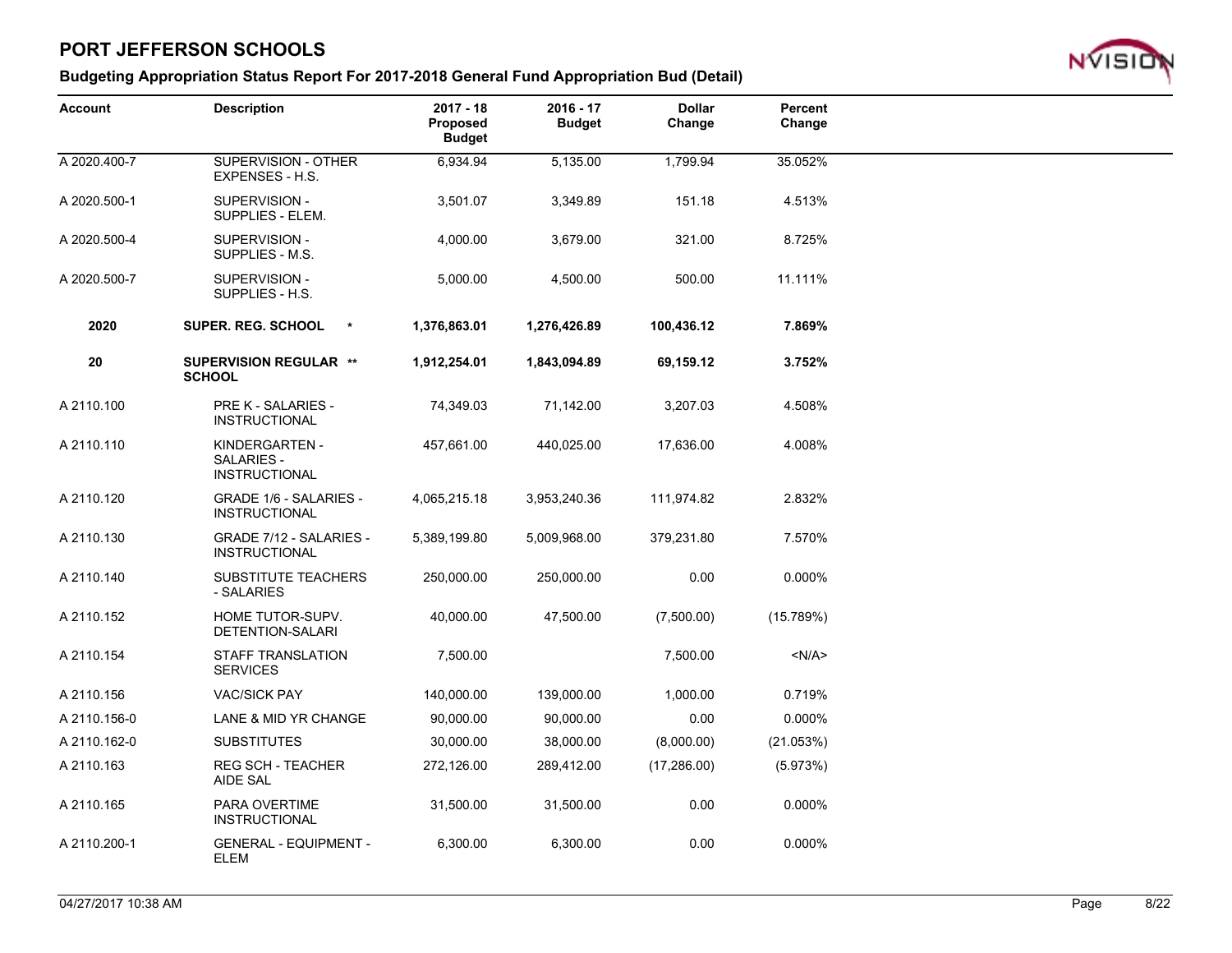

| Account      | <b>Description</b>                                    | $2017 - 18$<br>Proposed<br><b>Budget</b> | $2016 - 17$<br><b>Budget</b> | <b>Dollar</b><br>Change | Percent<br>Change |
|--------------|-------------------------------------------------------|------------------------------------------|------------------------------|-------------------------|-------------------|
| A 2020.400-7 | SUPERVISION - OTHER<br>EXPENSES - H.S.                | 6,934.94                                 | 5,135.00                     | 1,799.94                | 35.052%           |
| A 2020.500-1 | SUPERVISION -<br>SUPPLIES - ELEM.                     | 3,501.07                                 | 3,349.89                     | 151.18                  | 4.513%            |
| A 2020.500-4 | SUPERVISION -<br>SUPPLIES - M.S.                      | 4,000.00                                 | 3,679.00                     | 321.00                  | 8.725%            |
| A 2020.500-7 | SUPERVISION -<br>SUPPLIES - H.S.                      | 5,000.00                                 | 4,500.00                     | 500.00                  | 11.111%           |
| 2020         | <b>SUPER. REG. SCHOOL</b><br>$\star$                  | 1,376,863.01                             | 1,276,426.89                 | 100,436.12              | 7.869%            |
| 20           | <b>SUPERVISION REGULAR **</b><br><b>SCHOOL</b>        | 1,912,254.01                             | 1,843,094.89                 | 69,159.12               | 3.752%            |
| A 2110.100   | <b>PRE K - SALARIES -</b><br><b>INSTRUCTIONAL</b>     | 74,349.03                                | 71,142.00                    | 3,207.03                | 4.508%            |
| A 2110.110   | KINDERGARTEN -<br>SALARIES -<br><b>INSTRUCTIONAL</b>  | 457,661.00                               | 440,025.00                   | 17,636.00               | 4.008%            |
| A 2110.120   | <b>GRADE 1/6 - SALARIES -</b><br><b>INSTRUCTIONAL</b> | 4,065,215.18                             | 3,953,240.36                 | 111,974.82              | 2.832%            |
| A 2110.130   | GRADE 7/12 - SALARIES -<br><b>INSTRUCTIONAL</b>       | 5,389,199.80                             | 5,009,968.00                 | 379,231.80              | 7.570%            |
| A 2110.140   | SUBSTITUTE TEACHERS<br>- SALARIES                     | 250,000.00                               | 250,000.00                   | 0.00                    | 0.000%            |
| A 2110.152   | HOME TUTOR-SUPV.<br>DETENTION-SALARI                  | 40,000.00                                | 47,500.00                    | (7,500.00)              | (15.789%)         |
| A 2110.154   | <b>STAFF TRANSLATION</b><br><b>SERVICES</b>           | 7,500.00                                 |                              | 7,500.00                | $<$ N/A $>$       |
| A 2110.156   | <b>VAC/SICK PAY</b>                                   | 140,000.00                               | 139,000.00                   | 1,000.00                | 0.719%            |
| A 2110.156-0 | LANE & MID YR CHANGE                                  | 90,000.00                                | 90,000.00                    | 0.00                    | 0.000%            |
| A 2110.162-0 | <b>SUBSTITUTES</b>                                    | 30,000.00                                | 38,000.00                    | (8,000.00)              | (21.053%)         |
| A 2110.163   | <b>REG SCH - TEACHER</b><br>AIDE SAL                  | 272,126.00                               | 289,412.00                   | (17, 286.00)            | (5.973%)          |
| A 2110.165   | PARA OVERTIME<br><b>INSTRUCTIONAL</b>                 | 31,500.00                                | 31,500.00                    | 0.00                    | 0.000%            |
| A 2110.200-1 | <b>GENERAL - EQUIPMENT -</b><br>ELEM                  | 6,300.00                                 | 6,300.00                     | 0.00                    | 0.000%            |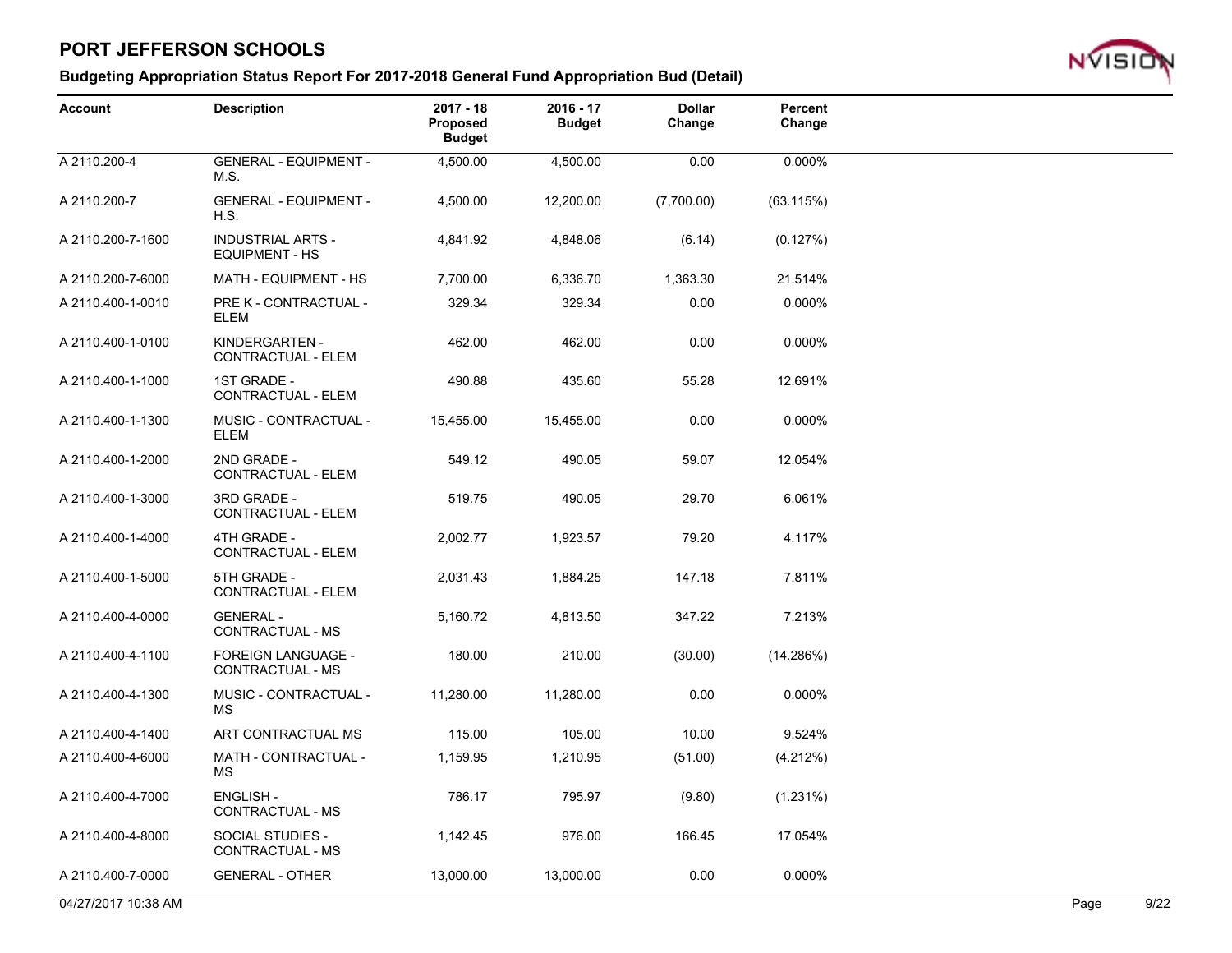

| <b>Account</b>      | <b>Description</b>                                | $2017 - 18$<br><b>Proposed</b><br><b>Budget</b> | $2016 - 17$<br><b>Budget</b> | <b>Dollar</b><br>Change | Percent<br>Change |      |      |
|---------------------|---------------------------------------------------|-------------------------------------------------|------------------------------|-------------------------|-------------------|------|------|
| A 2110.200-4        | <b>GENERAL - EQUIPMENT -</b><br>M.S.              | 4,500.00                                        | 4,500.00                     | 0.00                    | 0.000%            |      |      |
| A 2110.200-7        | <b>GENERAL - EQUIPMENT -</b><br>H.S.              | 4,500.00                                        | 12,200.00                    | (7,700.00)              | (63.115%)         |      |      |
| A 2110.200-7-1600   | <b>INDUSTRIAL ARTS -</b><br><b>EQUIPMENT - HS</b> | 4,841.92                                        | 4,848.06                     | (6.14)                  | (0.127%)          |      |      |
| A 2110.200-7-6000   | MATH - EQUIPMENT - HS                             | 7,700.00                                        | 6,336.70                     | 1,363.30                | 21.514%           |      |      |
| A 2110.400-1-0010   | PRE K - CONTRACTUAL -<br><b>ELEM</b>              | 329.34                                          | 329.34                       | 0.00                    | 0.000%            |      |      |
| A 2110.400-1-0100   | KINDERGARTEN -<br>CONTRACTUAL - ELEM              | 462.00                                          | 462.00                       | 0.00                    | 0.000%            |      |      |
| A 2110.400-1-1000   | 1ST GRADE -<br>CONTRACTUAL - ELEM                 | 490.88                                          | 435.60                       | 55.28                   | 12.691%           |      |      |
| A 2110.400-1-1300   | MUSIC - CONTRACTUAL -<br><b>ELEM</b>              | 15,455.00                                       | 15,455.00                    | 0.00                    | 0.000%            |      |      |
| A 2110.400-1-2000   | 2ND GRADE -<br>CONTRACTUAL - ELEM                 | 549.12                                          | 490.05                       | 59.07                   | 12.054%           |      |      |
| A 2110.400-1-3000   | 3RD GRADE -<br>CONTRACTUAL - ELEM                 | 519.75                                          | 490.05                       | 29.70                   | 6.061%            |      |      |
| A 2110.400-1-4000   | 4TH GRADE -<br>CONTRACTUAL - ELEM                 | 2,002.77                                        | 1,923.57                     | 79.20                   | 4.117%            |      |      |
| A 2110.400-1-5000   | 5TH GRADE -<br>CONTRACTUAL - ELEM                 | 2,031.43                                        | 1,884.25                     | 147.18                  | 7.811%            |      |      |
| A 2110.400-4-0000   | <b>GENERAL -</b><br>CONTRACTUAL - MS              | 5,160.72                                        | 4,813.50                     | 347.22                  | 7.213%            |      |      |
| A 2110.400-4-1100   | FOREIGN LANGUAGE -<br>CONTRACTUAL - MS            | 180.00                                          | 210.00                       | (30.00)                 | (14.286%)         |      |      |
| A 2110.400-4-1300   | MUSIC - CONTRACTUAL -<br>МS                       | 11,280.00                                       | 11,280.00                    | 0.00                    | 0.000%            |      |      |
| A 2110.400-4-1400   | ART CONTRACTUAL MS                                | 115.00                                          | 105.00                       | 10.00                   | 9.524%            |      |      |
| A 2110.400-4-6000   | MATH - CONTRACTUAL -<br>МS                        | 1,159.95                                        | 1,210.95                     | (51.00)                 | (4.212%)          |      |      |
| A 2110.400-4-7000   | <b>ENGLISH -</b><br>CONTRACTUAL - MS              | 786.17                                          | 795.97                       | (9.80)                  | (1.231%)          |      |      |
| A 2110.400-4-8000   | SOCIAL STUDIES -<br>CONTRACTUAL - MS              | 1,142.45                                        | 976.00                       | 166.45                  | 17.054%           |      |      |
| A 2110.400-7-0000   | <b>GENERAL - OTHER</b>                            | 13,000.00                                       | 13,000.00                    | 0.00                    | 0.000%            |      |      |
| 04/27/2017 10:38 AM |                                                   |                                                 |                              |                         |                   | Page | 9/22 |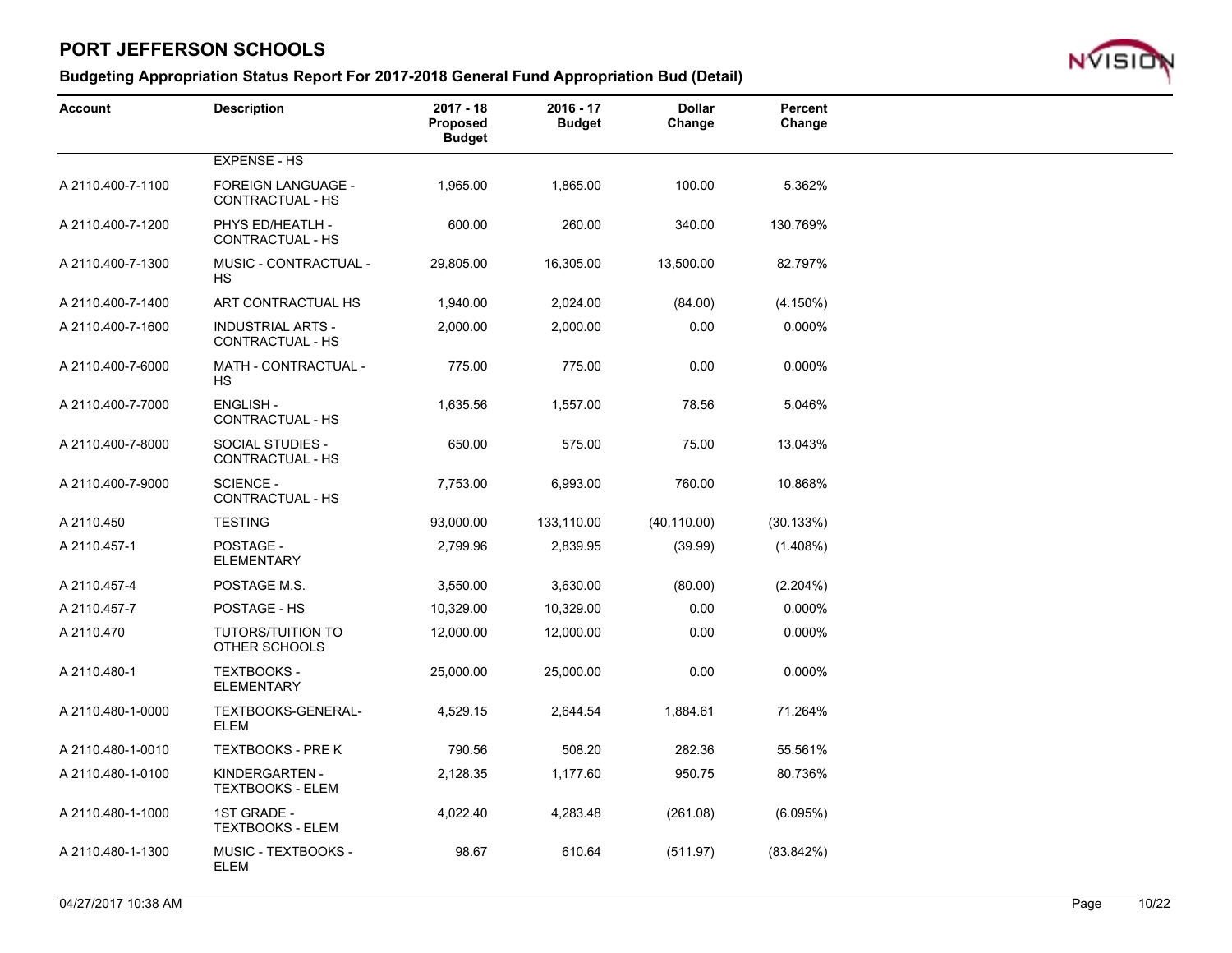

| Account           | <b>Description</b>                                 | $2017 - 18$<br>Proposed<br><b>Budget</b> | $2016 - 17$<br><b>Budget</b> | <b>Dollar</b><br>Change | Percent<br>Change |  |
|-------------------|----------------------------------------------------|------------------------------------------|------------------------------|-------------------------|-------------------|--|
|                   | <b>EXPENSE - HS</b>                                |                                          |                              |                         |                   |  |
| A 2110.400-7-1100 | <b>FOREIGN LANGUAGE -</b><br>CONTRACTUAL - HS      | 1,965.00                                 | 1,865.00                     | 100.00                  | 5.362%            |  |
| A 2110.400-7-1200 | PHYS ED/HEATLH -<br>CONTRACTUAL - HS               | 600.00                                   | 260.00                       | 340.00                  | 130.769%          |  |
| A 2110.400-7-1300 | MUSIC - CONTRACTUAL -<br><b>HS</b>                 | 29,805.00                                | 16,305.00                    | 13,500.00               | 82.797%           |  |
| A 2110.400-7-1400 | ART CONTRACTUAL HS                                 | 1,940.00                                 | 2,024.00                     | (84.00)                 | $(4.150\%)$       |  |
| A 2110.400-7-1600 | <b>INDUSTRIAL ARTS -</b><br>CONTRACTUAL - HS       | 2,000.00                                 | 2,000.00                     | 0.00                    | 0.000%            |  |
| A 2110.400-7-6000 | <b>MATH - CONTRACTUAL -</b><br>НS                  | 775.00                                   | 775.00                       | 0.00                    | 0.000%            |  |
| A 2110.400-7-7000 | <b>ENGLISH -</b><br>CONTRACTUAL - HS               | 1,635.56                                 | 1,557.00                     | 78.56                   | 5.046%            |  |
| A 2110.400-7-8000 | <b>SOCIAL STUDIES -</b><br><b>CONTRACTUAL - HS</b> | 650.00                                   | 575.00                       | 75.00                   | 13.043%           |  |
| A 2110.400-7-9000 | <b>SCIENCE -</b><br>CONTRACTUAL - HS               | 7,753.00                                 | 6,993.00                     | 760.00                  | 10.868%           |  |
| A 2110.450        | <b>TESTING</b>                                     | 93,000.00                                | 133,110.00                   | (40, 110.00)            | (30.133%)         |  |
| A 2110.457-1      | POSTAGE -<br><b>ELEMENTARY</b>                     | 2,799.96                                 | 2,839.95                     | (39.99)                 | $(1.408\%)$       |  |
| A 2110.457-4      | POSTAGE M.S.                                       | 3,550.00                                 | 3,630.00                     | (80.00)                 | (2.204%)          |  |
| A 2110.457-7      | POSTAGE - HS                                       | 10,329.00                                | 10,329.00                    | 0.00                    | 0.000%            |  |
| A 2110.470        | <b>TUTORS/TUITION TO</b><br>OTHER SCHOOLS          | 12,000.00                                | 12,000.00                    | 0.00                    | 0.000%            |  |
| A 2110.480-1      | <b>TEXTBOOKS -</b><br><b>ELEMENTARY</b>            | 25,000.00                                | 25,000.00                    | 0.00                    | 0.000%            |  |
| A 2110.480-1-0000 | TEXTBOOKS-GENERAL-<br><b>ELEM</b>                  | 4,529.15                                 | 2,644.54                     | 1,884.61                | 71.264%           |  |
| A 2110.480-1-0010 | <b>TEXTBOOKS - PRE K</b>                           | 790.56                                   | 508.20                       | 282.36                  | 55.561%           |  |
| A 2110.480-1-0100 | KINDERGARTEN -<br><b>TEXTBOOKS - ELEM</b>          | 2,128.35                                 | 1,177.60                     | 950.75                  | 80.736%           |  |
| A 2110.480-1-1000 | 1ST GRADE -<br><b>TEXTBOOKS - ELEM</b>             | 4,022.40                                 | 4,283.48                     | (261.08)                | (6.095%)          |  |
| A 2110.480-1-1300 | MUSIC - TEXTBOOKS -<br><b>ELEM</b>                 | 98.67                                    | 610.64                       | (511.97)                | (83.842%)         |  |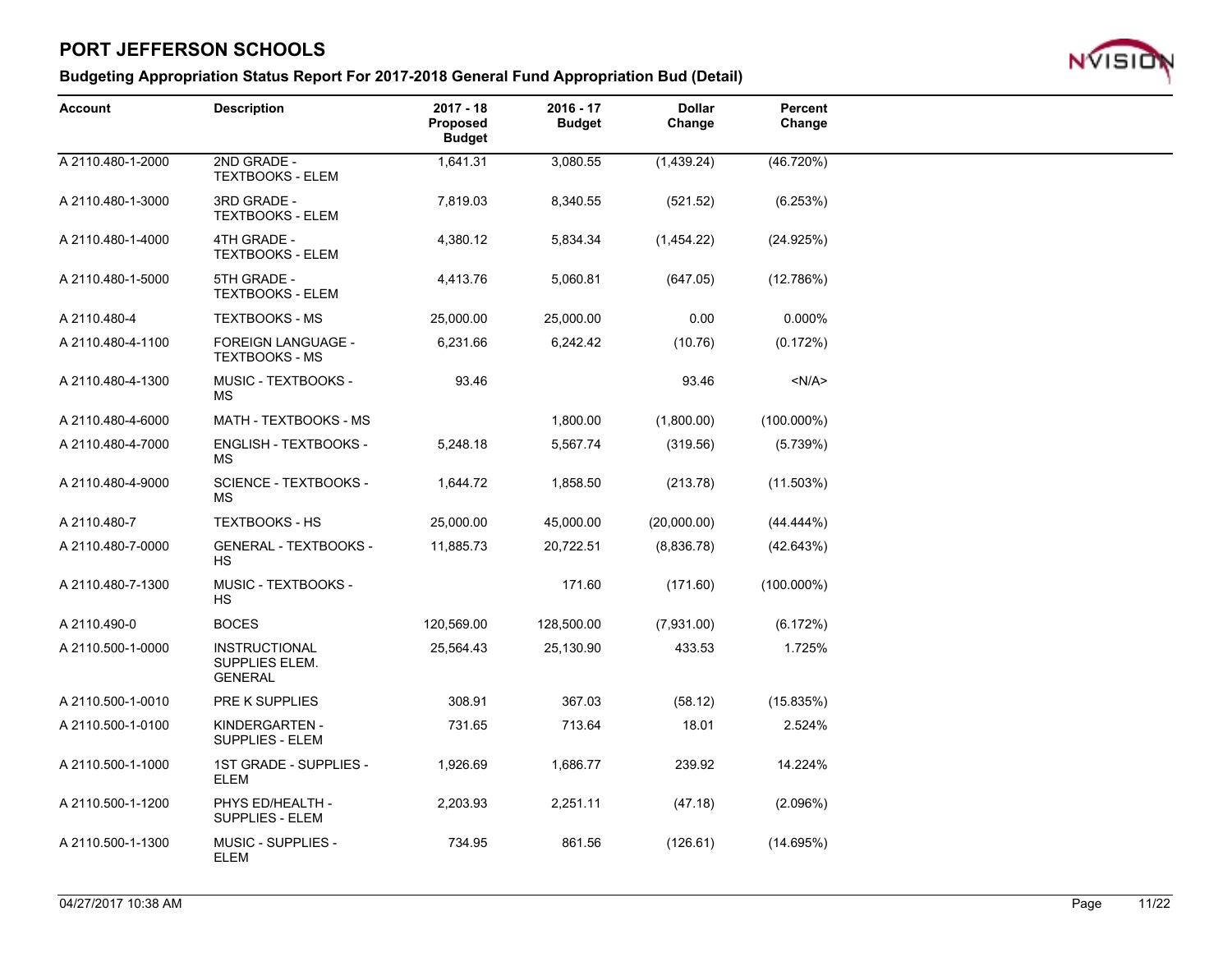

| <b>Account</b>    | <b>Description</b>                                       | $2017 - 18$<br><b>Proposed</b><br><b>Budget</b> | $2016 - 17$<br><b>Budget</b> | <b>Dollar</b><br>Change | Percent<br>Change |  |
|-------------------|----------------------------------------------------------|-------------------------------------------------|------------------------------|-------------------------|-------------------|--|
| A 2110.480-1-2000 | 2ND GRADE -<br><b>TEXTBOOKS - ELEM</b>                   | 1,641.31                                        | 3,080.55                     | (1,439.24)              | (46.720%)         |  |
| A 2110.480-1-3000 | 3RD GRADE -<br><b>TEXTBOOKS - ELEM</b>                   | 7,819.03                                        | 8,340.55                     | (521.52)                | (6.253%)          |  |
| A 2110.480-1-4000 | 4TH GRADE -<br><b>TEXTBOOKS - ELEM</b>                   | 4,380.12                                        | 5,834.34                     | (1,454.22)              | (24.925%)         |  |
| A 2110.480-1-5000 | 5TH GRADE -<br><b>TEXTBOOKS - ELEM</b>                   | 4,413.76                                        | 5,060.81                     | (647.05)                | (12.786%)         |  |
| A 2110.480-4      | <b>TEXTBOOKS - MS</b>                                    | 25,000.00                                       | 25,000.00                    | 0.00                    | 0.000%            |  |
| A 2110.480-4-1100 | FOREIGN LANGUAGE -<br><b>TEXTBOOKS - MS</b>              | 6,231.66                                        | 6,242.42                     | (10.76)                 | (0.172%)          |  |
| A 2110.480-4-1300 | MUSIC - TEXTBOOKS -<br>МS                                | 93.46                                           |                              | 93.46                   | < N/A >           |  |
| A 2110.480-4-6000 | MATH - TEXTBOOKS - MS                                    |                                                 | 1,800.00                     | (1,800.00)              | $(100.000\%)$     |  |
| A 2110.480-4-7000 | ENGLISH - TEXTBOOKS -<br>МS                              | 5,248.18                                        | 5,567.74                     | (319.56)                | (5.739%)          |  |
| A 2110.480-4-9000 | <b>SCIENCE - TEXTBOOKS -</b><br>MS.                      | 1,644.72                                        | 1,858.50                     | (213.78)                | (11.503%)         |  |
| A 2110.480-7      | <b>TEXTBOOKS - HS</b>                                    | 25,000.00                                       | 45,000.00                    | (20,000.00)             | $(44.444\%)$      |  |
| A 2110.480-7-0000 | <b>GENERAL - TEXTBOOKS -</b><br><b>HS</b>                | 11,885.73                                       | 20,722.51                    | (8,836.78)              | (42.643%)         |  |
| A 2110.480-7-1300 | MUSIC - TEXTBOOKS -<br>HS                                |                                                 | 171.60                       | (171.60)                | $(100.000\%)$     |  |
| A 2110.490-0      | <b>BOCES</b>                                             | 120,569.00                                      | 128,500.00                   | (7,931.00)              | (6.172%)          |  |
| A 2110.500-1-0000 | <b>INSTRUCTIONAL</b><br>SUPPLIES ELEM.<br><b>GENERAL</b> | 25,564.43                                       | 25,130.90                    | 433.53                  | 1.725%            |  |
| A 2110.500-1-0010 | PRE K SUPPLIES                                           | 308.91                                          | 367.03                       | (58.12)                 | (15.835%)         |  |
| A 2110.500-1-0100 | KINDERGARTEN -<br><b>SUPPLIES - ELEM</b>                 | 731.65                                          | 713.64                       | 18.01                   | 2.524%            |  |
| A 2110.500-1-1000 | 1ST GRADE - SUPPLIES -<br><b>ELEM</b>                    | 1,926.69                                        | 1,686.77                     | 239.92                  | 14.224%           |  |
| A 2110.500-1-1200 | PHYS ED/HEALTH -<br><b>SUPPLIES - ELEM</b>               | 2,203.93                                        | 2,251.11                     | (47.18)                 | (2.096%)          |  |
| A 2110.500-1-1300 | <b>MUSIC - SUPPLIES -</b><br><b>ELEM</b>                 | 734.95                                          | 861.56                       | (126.61)                | (14.695%)         |  |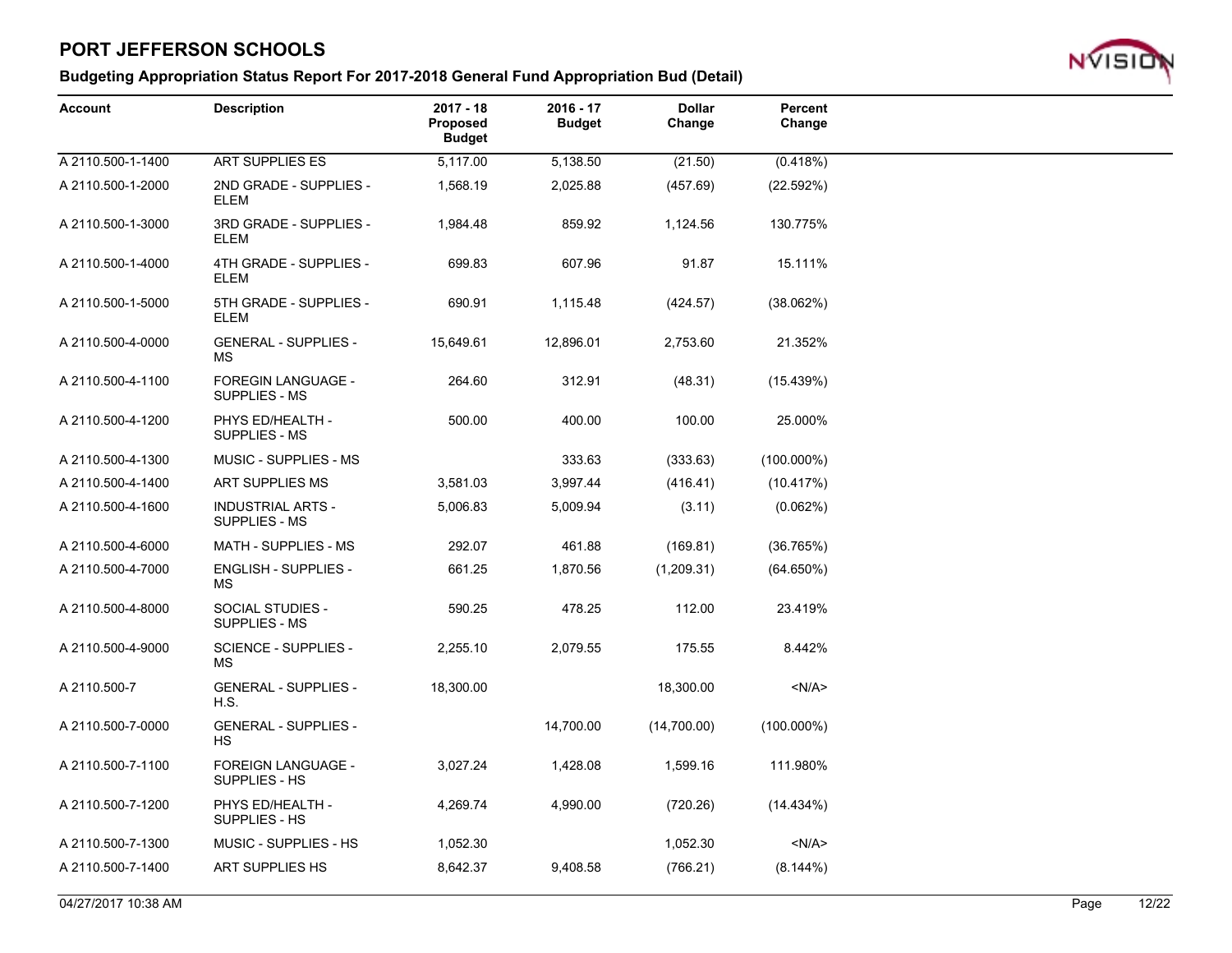### **Budgeting Appropriation Status Report For 2017-2018 General Fund Appropriation Bud (Detail)**



| Account           | <b>Description</b>                               | $2017 - 18$<br>Proposed<br><b>Budget</b> | 2016 - 17<br><b>Budget</b> | <b>Dollar</b><br>Change | Percent<br>Change |
|-------------------|--------------------------------------------------|------------------------------------------|----------------------------|-------------------------|-------------------|
| A 2110.500-1-1400 | <b>ART SUPPLIES ES</b>                           | 5,117.00                                 | 5,138.50                   | (21.50)                 | (0.418%)          |
| A 2110.500-1-2000 | 2ND GRADE - SUPPLIES -<br><b>ELEM</b>            | 1,568.19                                 | 2,025.88                   | (457.69)                | (22.592%)         |
| A 2110.500-1-3000 | 3RD GRADE - SUPPLIES -<br>ELEM                   | 1,984.48                                 | 859.92                     | 1,124.56                | 130.775%          |
| A 2110.500-1-4000 | 4TH GRADE - SUPPLIES -<br><b>ELEM</b>            | 699.83                                   | 607.96                     | 91.87                   | 15.111%           |
| A 2110.500-1-5000 | 5TH GRADE - SUPPLIES -<br><b>ELEM</b>            | 690.91                                   | 1,115.48                   | (424.57)                | (38.062%)         |
| A 2110.500-4-0000 | <b>GENERAL - SUPPLIES -</b><br><b>MS</b>         | 15,649.61                                | 12,896.01                  | 2,753.60                | 21.352%           |
| A 2110.500-4-1100 | <b>FOREGIN LANGUAGE -</b><br>SUPPLIES - MS       | 264.60                                   | 312.91                     | (48.31)                 | (15.439%)         |
| A 2110.500-4-1200 | PHYS ED/HEALTH -<br>SUPPLIES - MS                | 500.00                                   | 400.00                     | 100.00                  | 25.000%           |
| A 2110.500-4-1300 | MUSIC - SUPPLIES - MS                            |                                          | 333.63                     | (333.63)                | $(100.000\%)$     |
| A 2110.500-4-1400 | ART SUPPLIES MS                                  | 3,581.03                                 | 3,997.44                   | (416.41)                | (10.417%)         |
| A 2110.500-4-1600 | <b>INDUSTRIAL ARTS -</b><br><b>SUPPLIES - MS</b> | 5,006.83                                 | 5,009.94                   | (3.11)                  | (0.062%)          |
| A 2110.500-4-6000 | MATH - SUPPLIES - MS                             | 292.07                                   | 461.88                     | (169.81)                | (36.765%)         |
| A 2110.500-4-7000 | ENGLISH - SUPPLIES -<br>MS.                      | 661.25                                   | 1,870.56                   | (1,209.31)              | (64.650%)         |
| A 2110.500-4-8000 | SOCIAL STUDIES -<br>SUPPLIES - MS                | 590.25                                   | 478.25                     | 112.00                  | 23.419%           |
| A 2110.500-4-9000 | SCIENCE - SUPPLIES -<br>MS.                      | 2,255.10                                 | 2,079.55                   | 175.55                  | 8.442%            |
| A 2110.500-7      | <b>GENERAL - SUPPLIES -</b><br>H.S.              | 18,300.00                                |                            | 18,300.00               | < N/A >           |
| A 2110.500-7-0000 | <b>GENERAL - SUPPLIES -</b><br><b>HS</b>         |                                          | 14,700.00                  | (14,700.00)             | $(100.000\%)$     |
| A 2110.500-7-1100 | <b>FOREIGN LANGUAGE -</b><br>SUPPLIES - HS       | 3,027.24                                 | 1,428.08                   | 1,599.16                | 111.980%          |
| A 2110.500-7-1200 | PHYS ED/HEALTH -<br>SUPPLIES - HS                | 4,269.74                                 | 4,990.00                   | (720.26)                | (14.434%)         |
| A 2110.500-7-1300 | MUSIC - SUPPLIES - HS                            | 1,052.30                                 |                            | 1,052.30                | < N/A >           |
| A 2110.500-7-1400 | <b>ART SUPPLIES HS</b>                           | 8,642.37                                 | 9,408.58                   | (766.21)                | (8.144%)          |
|                   |                                                  |                                          |                            |                         |                   |

04/27/2017 10:38 AM Page 12/22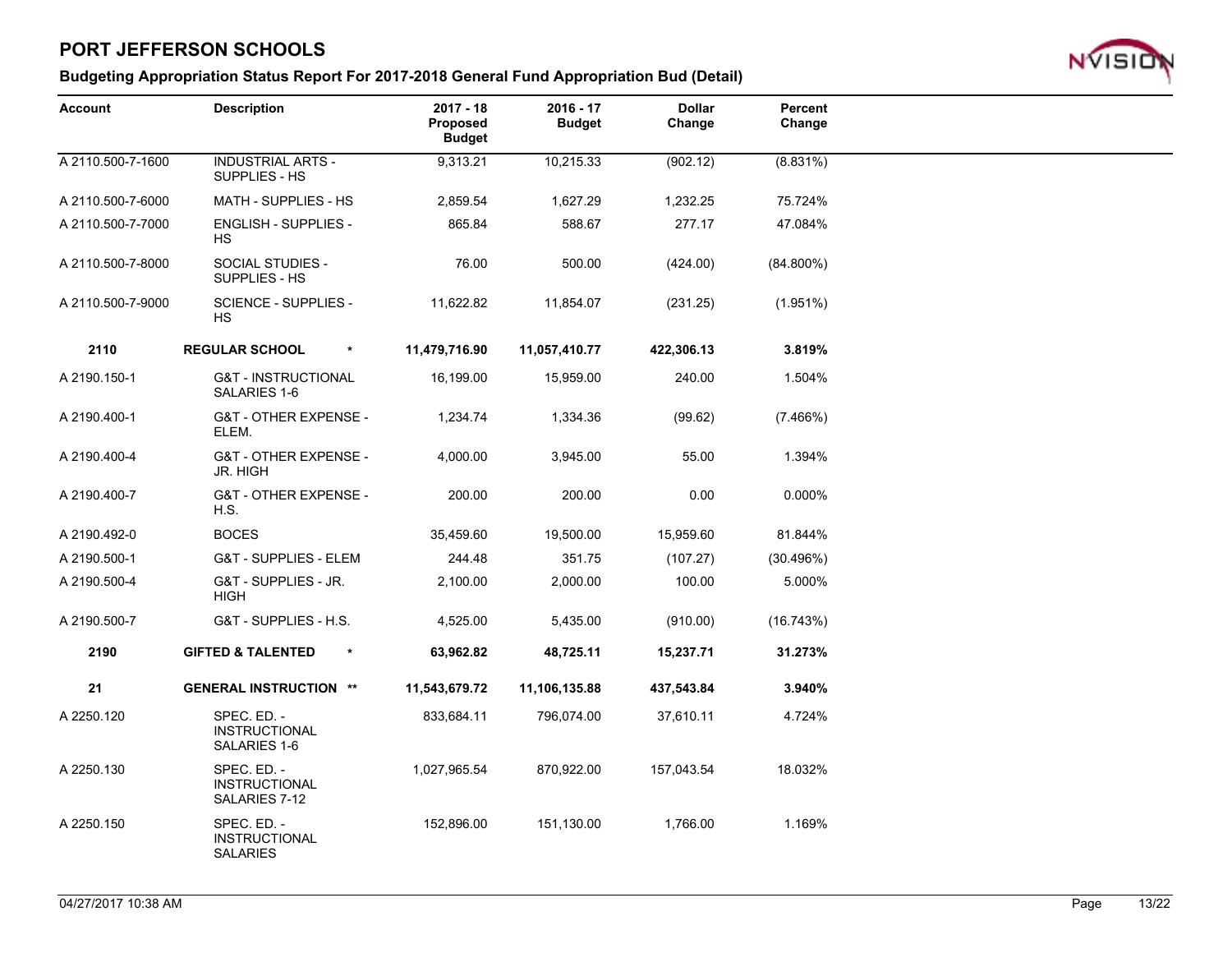

| <b>Account</b>    | <b>Description</b>                                     | $2017 - 18$<br>Proposed<br><b>Budget</b> | $2016 - 17$<br><b>Budget</b> | <b>Dollar</b><br>Change | Percent<br>Change |  |
|-------------------|--------------------------------------------------------|------------------------------------------|------------------------------|-------------------------|-------------------|--|
| A 2110.500-7-1600 | <b>INDUSTRIAL ARTS -</b><br>SUPPLIES - HS              | 9,313.21                                 | 10,215.33                    | (902.12)                | (8.831%)          |  |
| A 2110.500-7-6000 | MATH - SUPPLIES - HS                                   | 2,859.54                                 | 1,627.29                     | 1,232.25                | 75.724%           |  |
| A 2110.500-7-7000 | <b>ENGLISH - SUPPLIES -</b><br><b>HS</b>               | 865.84                                   | 588.67                       | 277.17                  | 47.084%           |  |
| A 2110.500-7-8000 | SOCIAL STUDIES -<br>SUPPLIES - HS                      | 76.00                                    | 500.00                       | (424.00)                | $(84.800\%)$      |  |
| A 2110.500-7-9000 | SCIENCE - SUPPLIES -<br>HS.                            | 11,622.82                                | 11,854.07                    | (231.25)                | (1.951%)          |  |
| 2110              | <b>REGULAR SCHOOL</b><br>$\pmb{\ast}$                  | 11,479,716.90                            | 11,057,410.77                | 422,306.13              | 3.819%            |  |
| A 2190.150-1      | <b>G&amp;T - INSTRUCTIONAL</b><br>SALARIES 1-6         | 16,199.00                                | 15,959.00                    | 240.00                  | 1.504%            |  |
| A 2190.400-1      | <b>G&amp;T - OTHER EXPENSE -</b><br>ELEM.              | 1,234.74                                 | 1,334.36                     | (99.62)                 | (7.466%)          |  |
| A 2190.400-4      | G&T - OTHER EXPENSE -<br>JR. HIGH                      | 4,000.00                                 | 3,945.00                     | 55.00                   | 1.394%            |  |
| A 2190.400-7      | <b>G&amp;T - OTHER EXPENSE -</b><br>H.S.               | 200.00                                   | 200.00                       | 0.00                    | 0.000%            |  |
| A 2190.492-0      | <b>BOCES</b>                                           | 35,459.60                                | 19,500.00                    | 15,959.60               | 81.844%           |  |
| A 2190.500-1      | <b>G&amp;T - SUPPLIES - ELEM</b>                       | 244.48                                   | 351.75                       | (107.27)                | (30.496%)         |  |
| A 2190.500-4      | G&T - SUPPLIES - JR.<br><b>HIGH</b>                    | 2,100.00                                 | 2,000.00                     | 100.00                  | 5.000%            |  |
| A 2190.500-7      | G&T - SUPPLIES - H.S.                                  | 4,525.00                                 | 5,435.00                     | (910.00)                | (16.743%)         |  |
| 2190              | <b>GIFTED &amp; TALENTED</b><br>$\pmb{\ast}$           | 63,962.82                                | 48,725.11                    | 15,237.71               | 31.273%           |  |
| 21                | <b>GENERAL INSTRUCTION **</b>                          | 11,543,679.72                            | 11,106,135.88                | 437,543.84              | 3.940%            |  |
| A 2250.120        | SPEC. ED. -<br><b>INSTRUCTIONAL</b><br>SALARIES 1-6    | 833,684.11                               | 796,074.00                   | 37,610.11               | 4.724%            |  |
| A 2250.130        | SPEC. ED. -<br><b>INSTRUCTIONAL</b><br>SALARIES 7-12   | 1,027,965.54                             | 870,922.00                   | 157,043.54              | 18.032%           |  |
| A 2250.150        | SPEC. ED. -<br><b>INSTRUCTIONAL</b><br><b>SALARIES</b> | 152,896.00                               | 151,130.00                   | 1,766.00                | 1.169%            |  |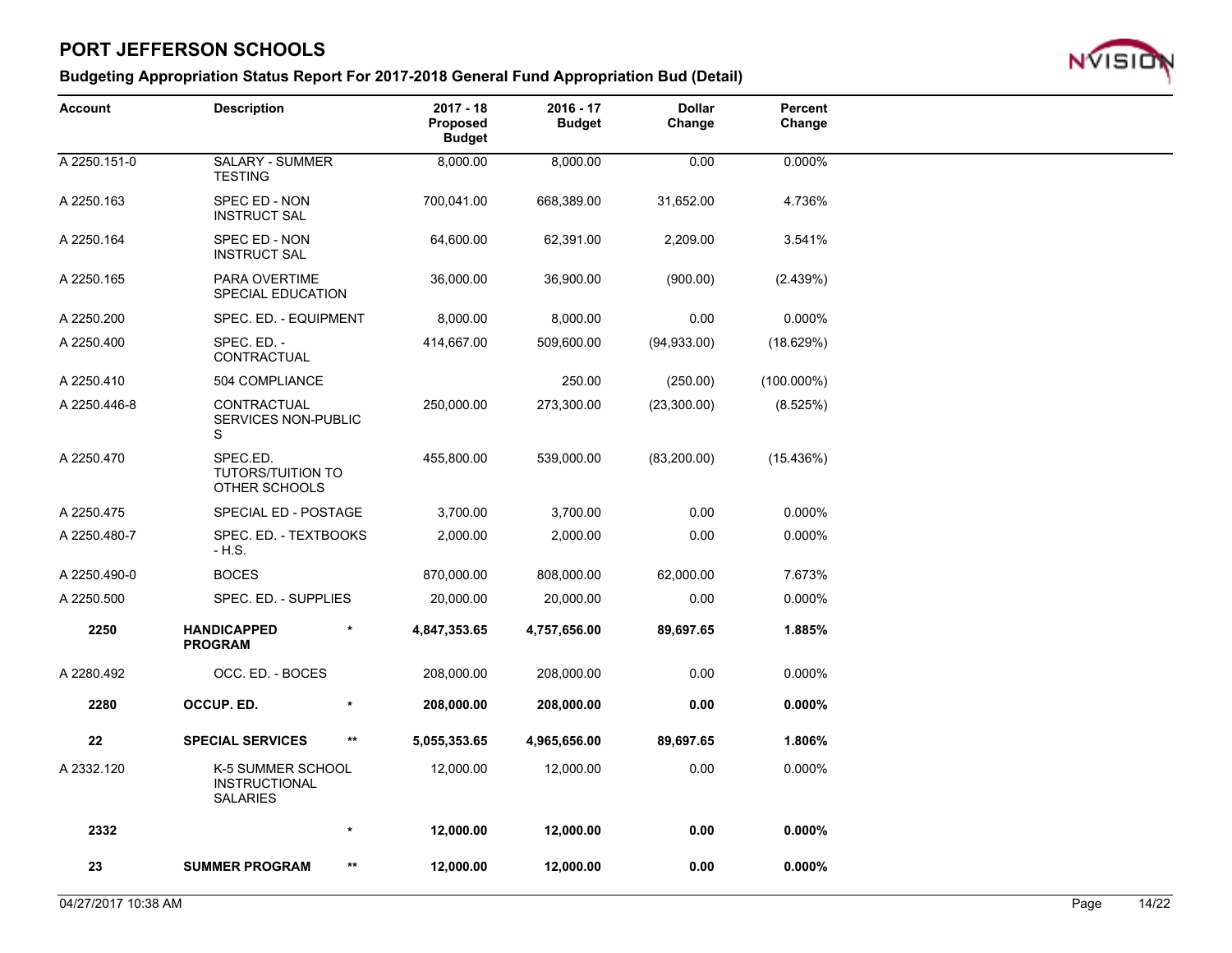

| Account      | <b>Description</b>                                           |              | $2017 - 18$<br>Proposed<br><b>Budget</b> | $2016 - 17$<br><b>Budget</b> | <b>Dollar</b><br>Change | Percent<br>Change |  |
|--------------|--------------------------------------------------------------|--------------|------------------------------------------|------------------------------|-------------------------|-------------------|--|
| A 2250.151-0 | SALARY - SUMMER<br><b>TESTING</b>                            |              | 8,000.00                                 | 8,000.00                     | 0.00                    | 0.000%            |  |
| A 2250.163   | SPEC ED - NON<br><b>INSTRUCT SAL</b>                         |              | 700,041.00                               | 668,389.00                   | 31,652.00               | 4.736%            |  |
| A 2250.164   | SPEC ED - NON<br><b>INSTRUCT SAL</b>                         |              | 64,600.00                                | 62,391.00                    | 2,209.00                | 3.541%            |  |
| A 2250.165   | PARA OVERTIME<br>SPECIAL EDUCATION                           |              | 36,000.00                                | 36,900.00                    | (900.00)                | (2.439%)          |  |
| A 2250.200   | SPEC. ED. - EQUIPMENT                                        |              | 8,000.00                                 | 8,000.00                     | 0.00                    | 0.000%            |  |
| A 2250.400   | SPEC. ED. -<br>CONTRACTUAL                                   |              | 414,667.00                               | 509,600.00                   | (94, 933.00)            | (18.629%)         |  |
| A 2250.410   | 504 COMPLIANCE                                               |              |                                          | 250.00                       | (250.00)                | $(100.000\%)$     |  |
| A 2250.446-8 | CONTRACTUAL<br>SERVICES NON-PUBLIC<br>S                      |              | 250,000.00                               | 273,300.00                   | (23,300.00)             | (8.525%)          |  |
| A 2250.470   | SPEC.ED.<br><b>TUTORS/TUITION TO</b><br>OTHER SCHOOLS        |              | 455,800.00                               | 539,000.00                   | (83, 200.00)            | (15.436%)         |  |
| A 2250.475   | SPECIAL ED - POSTAGE                                         |              | 3,700.00                                 | 3,700.00                     | 0.00                    | 0.000%            |  |
| A 2250.480-7 | SPEC. ED. - TEXTBOOKS<br>- H.S.                              |              | 2,000.00                                 | 2,000.00                     | 0.00                    | 0.000%            |  |
| A 2250.490-0 | <b>BOCES</b>                                                 |              | 870,000.00                               | 808,000.00                   | 62,000.00               | 7.673%            |  |
| A 2250.500   | SPEC. ED. - SUPPLIES                                         |              | 20,000.00                                | 20,000.00                    | 0.00                    | 0.000%            |  |
| 2250         | <b>HANDICAPPED</b><br><b>PROGRAM</b>                         | $\star$      | 4,847,353.65                             | 4,757,656.00                 | 89,697.65               | 1.885%            |  |
| A 2280.492   | OCC. ED. - BOCES                                             |              | 208,000.00                               | 208,000.00                   | 0.00                    | 0.000%            |  |
| 2280         | OCCUP. ED.                                                   | $\ast$       | 208,000.00                               | 208,000.00                   | 0.00                    | 0.000%            |  |
| ${\bf 22}$   | <b>SPECIAL SERVICES</b>                                      | $***$        | 5,055,353.65                             | 4,965,656.00                 | 89,697.65               | 1.806%            |  |
| A 2332.120   | K-5 SUMMER SCHOOL<br><b>INSTRUCTIONAL</b><br><b>SALARIES</b> |              | 12,000.00                                | 12,000.00                    | 0.00                    | 0.000%            |  |
| 2332         |                                                              | *            | 12,000.00                                | 12,000.00                    | 0.00                    | 0.000%            |  |
| 23           | <b>SUMMER PROGRAM</b>                                        | $\star\star$ | 12,000.00                                | 12,000.00                    | 0.00                    | 0.000%            |  |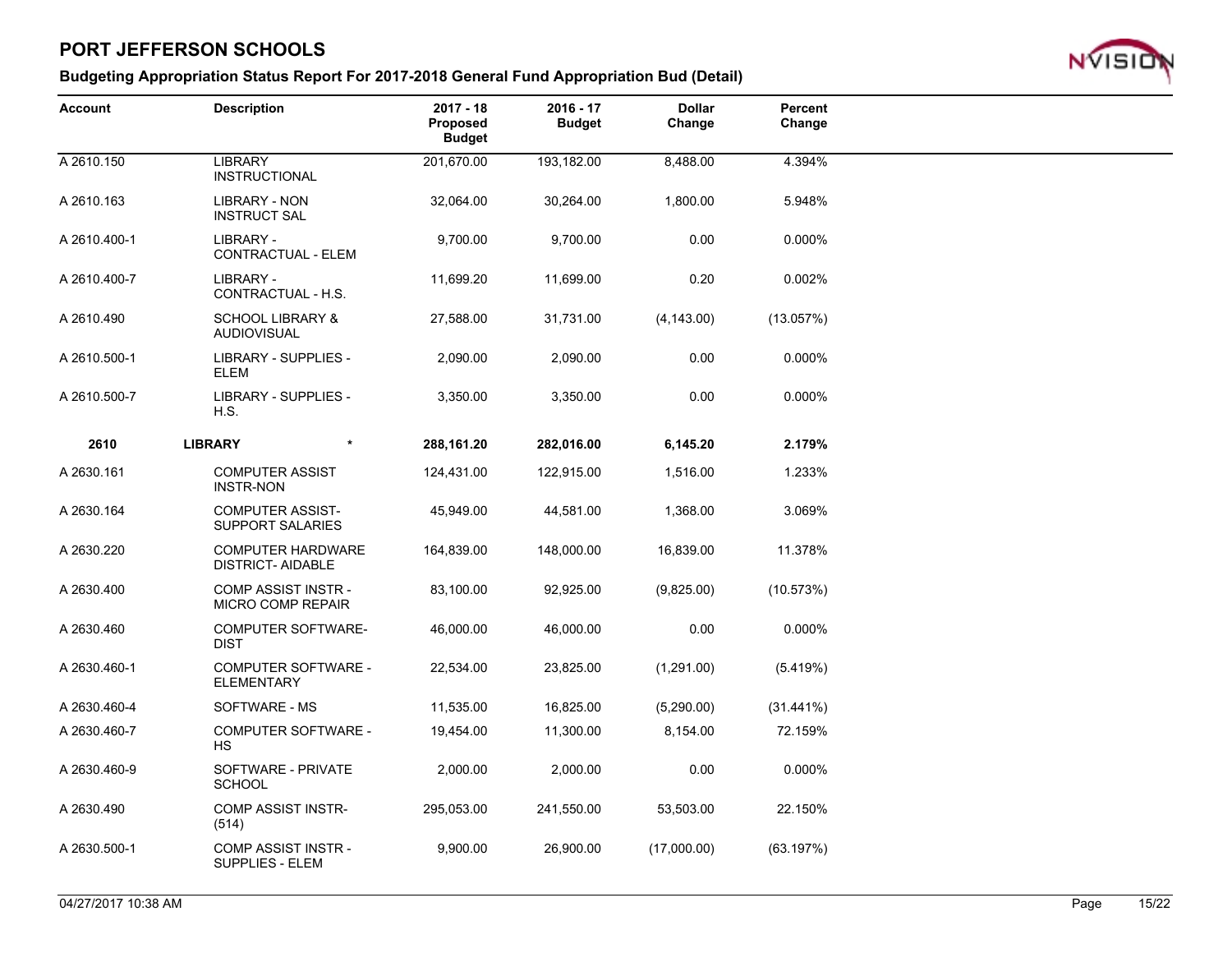

| <b>Account</b> | <b>Description</b>                                    | $2017 - 18$<br>Proposed<br><b>Budget</b> | $2016 - 17$<br><b>Budget</b> | <b>Dollar</b><br>Change | Percent<br>Change |  |
|----------------|-------------------------------------------------------|------------------------------------------|------------------------------|-------------------------|-------------------|--|
| A 2610.150     | <b>LIBRARY</b><br><b>INSTRUCTIONAL</b>                | 201,670.00                               | 193,182.00                   | 8,488.00                | 4.394%            |  |
| A 2610.163     | <b>LIBRARY - NON</b><br><b>INSTRUCT SAL</b>           | 32,064.00                                | 30,264.00                    | 1,800.00                | 5.948%            |  |
| A 2610.400-1   | LIBRARY -<br>CONTRACTUAL - ELEM                       | 9,700.00                                 | 9,700.00                     | 0.00                    | 0.000%            |  |
| A 2610.400-7   | LIBRARY -<br>CONTRACTUAL - H.S.                       | 11,699.20                                | 11,699.00                    | 0.20                    | 0.002%            |  |
| A 2610.490     | <b>SCHOOL LIBRARY &amp;</b><br><b>AUDIOVISUAL</b>     | 27,588.00                                | 31,731.00                    | (4, 143.00)             | (13.057%)         |  |
| A 2610.500-1   | LIBRARY - SUPPLIES -<br><b>ELEM</b>                   | 2,090.00                                 | 2,090.00                     | 0.00                    | 0.000%            |  |
| A 2610.500-7   | LIBRARY - SUPPLIES -<br>H.S.                          | 3,350.00                                 | 3,350.00                     | 0.00                    | 0.000%            |  |
| 2610           | <b>LIBRARY</b><br>$\star$                             | 288,161.20                               | 282,016.00                   | 6,145.20                | 2.179%            |  |
| A 2630.161     | <b>COMPUTER ASSIST</b><br><b>INSTR-NON</b>            | 124,431.00                               | 122,915.00                   | 1,516.00                | 1.233%            |  |
| A 2630.164     | <b>COMPUTER ASSIST-</b><br><b>SUPPORT SALARIES</b>    | 45,949.00                                | 44,581.00                    | 1,368.00                | 3.069%            |  |
| A 2630.220     | <b>COMPUTER HARDWARE</b><br><b>DISTRICT- AIDABLE</b>  | 164,839.00                               | 148,000.00                   | 16,839.00               | 11.378%           |  |
| A 2630.400     | <b>COMP ASSIST INSTR-</b><br><b>MICRO COMP REPAIR</b> | 83,100.00                                | 92,925.00                    | (9,825.00)              | (10.573%)         |  |
| A 2630.460     | <b>COMPUTER SOFTWARE-</b><br><b>DIST</b>              | 46,000.00                                | 46,000.00                    | 0.00                    | 0.000%            |  |
| A 2630.460-1   | <b>COMPUTER SOFTWARE -</b><br><b>ELEMENTARY</b>       | 22,534.00                                | 23,825.00                    | (1,291.00)              | (5.419%)          |  |
| A 2630.460-4   | SOFTWARE - MS                                         | 11,535.00                                | 16,825.00                    | (5,290.00)              | $(31.441\%)$      |  |
| A 2630.460-7   | <b>COMPUTER SOFTWARE -</b><br><b>HS</b>               | 19,454.00                                | 11,300.00                    | 8,154.00                | 72.159%           |  |
| A 2630.460-9   | SOFTWARE - PRIVATE<br><b>SCHOOL</b>                   | 2,000.00                                 | 2,000.00                     | 0.00                    | 0.000%            |  |
| A 2630.490     | <b>COMP ASSIST INSTR-</b><br>(514)                    | 295,053.00                               | 241,550.00                   | 53,503.00               | 22.150%           |  |
| A 2630.500-1   | <b>COMP ASSIST INSTR -</b><br><b>SUPPLIES - ELEM</b>  | 9,900.00                                 | 26,900.00                    | (17,000.00)             | (63.197%)         |  |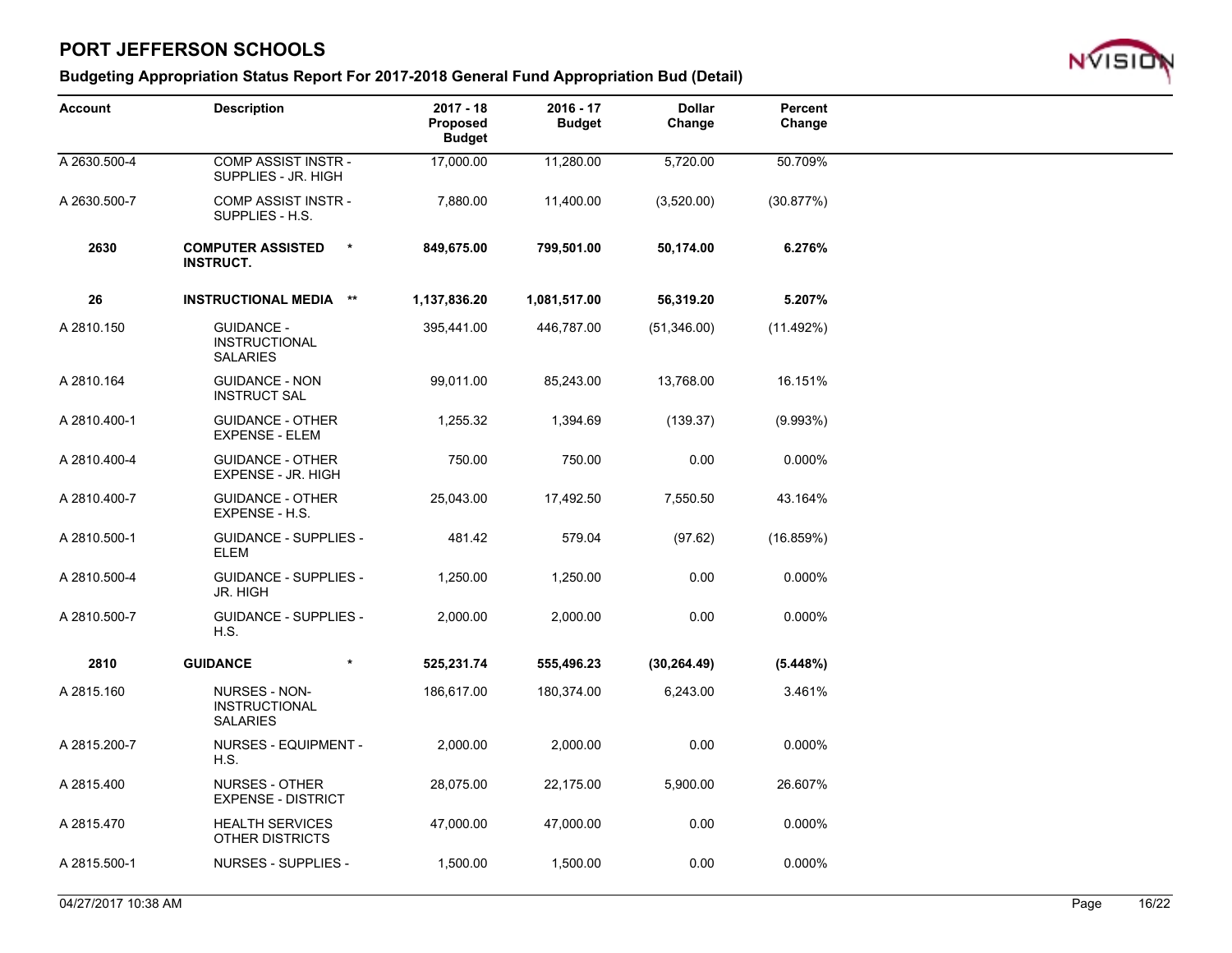

| <b>Account</b> | <b>Description</b>                                           | $2017 - 18$<br>Proposed<br><b>Budget</b> | 2016 - 17<br><b>Budget</b> | <b>Dollar</b><br>Change | Percent<br>Change |  |
|----------------|--------------------------------------------------------------|------------------------------------------|----------------------------|-------------------------|-------------------|--|
| A 2630.500-4   | <b>COMP ASSIST INSTR-</b><br>SUPPLIES - JR. HIGH             | 17,000.00                                | 11,280.00                  | 5,720.00                | 50.709%           |  |
| A 2630.500-7   | <b>COMP ASSIST INSTR-</b><br>SUPPLIES - H.S.                 | 7,880.00                                 | 11,400.00                  | (3,520.00)              | (30.877%)         |  |
| 2630           | <b>COMPUTER ASSISTED</b><br>$\star$<br><b>INSTRUCT.</b>      | 849,675.00                               | 799,501.00                 | 50,174.00               | 6.276%            |  |
| 26             | <b>INSTRUCTIONAL MEDIA **</b>                                | 1,137,836.20                             | 1,081,517.00               | 56,319.20               | 5.207%            |  |
| A 2810.150     | <b>GUIDANCE -</b><br><b>INSTRUCTIONAL</b><br><b>SALARIES</b> | 395,441.00                               | 446,787.00                 | (51,346.00)             | $(11.492\%)$      |  |
| A 2810.164     | <b>GUIDANCE - NON</b><br><b>INSTRUCT SAL</b>                 | 99,011.00                                | 85,243.00                  | 13,768.00               | 16.151%           |  |
| A 2810.400-1   | <b>GUIDANCE - OTHER</b><br><b>EXPENSE - ELEM</b>             | 1,255.32                                 | 1,394.69                   | (139.37)                | (9.993%)          |  |
| A 2810.400-4   | <b>GUIDANCE - OTHER</b><br>EXPENSE - JR. HIGH                | 750.00                                   | 750.00                     | 0.00                    | 0.000%            |  |
| A 2810.400-7   | <b>GUIDANCE - OTHER</b><br>EXPENSE - H.S.                    | 25,043.00                                | 17,492.50                  | 7,550.50                | 43.164%           |  |
| A 2810.500-1   | <b>GUIDANCE - SUPPLIES -</b><br><b>ELEM</b>                  | 481.42                                   | 579.04                     | (97.62)                 | (16.859%)         |  |
| A 2810.500-4   | <b>GUIDANCE - SUPPLIES -</b><br><b>JR. HIGH</b>              | 1,250.00                                 | 1,250.00                   | 0.00                    | 0.000%            |  |
| A 2810.500-7   | <b>GUIDANCE - SUPPLIES -</b><br>H.S.                         | 2,000.00                                 | 2,000.00                   | 0.00                    | 0.000%            |  |
| 2810           | <b>GUIDANCE</b><br>$\star$                                   | 525,231.74                               | 555,496.23                 | (30, 264.49)            | (5.448%)          |  |
| A 2815.160     | NURSES - NON-<br><b>INSTRUCTIONAL</b><br><b>SALARIES</b>     | 186,617.00                               | 180,374.00                 | 6,243.00                | 3.461%            |  |
| A 2815.200-7   | NURSES - EQUIPMENT -<br>H.S.                                 | 2,000.00                                 | 2,000.00                   | 0.00                    | 0.000%            |  |
| A 2815.400     | <b>NURSES - OTHER</b><br><b>EXPENSE - DISTRICT</b>           | 28,075.00                                | 22,175.00                  | 5,900.00                | 26.607%           |  |
| A 2815.470     | <b>HEALTH SERVICES</b><br>OTHER DISTRICTS                    | 47,000.00                                | 47,000.00                  | 0.00                    | 0.000%            |  |
| A 2815.500-1   | <b>NURSES - SUPPLIES -</b>                                   | 1,500.00                                 | 1,500.00                   | 0.00                    | 0.000%            |  |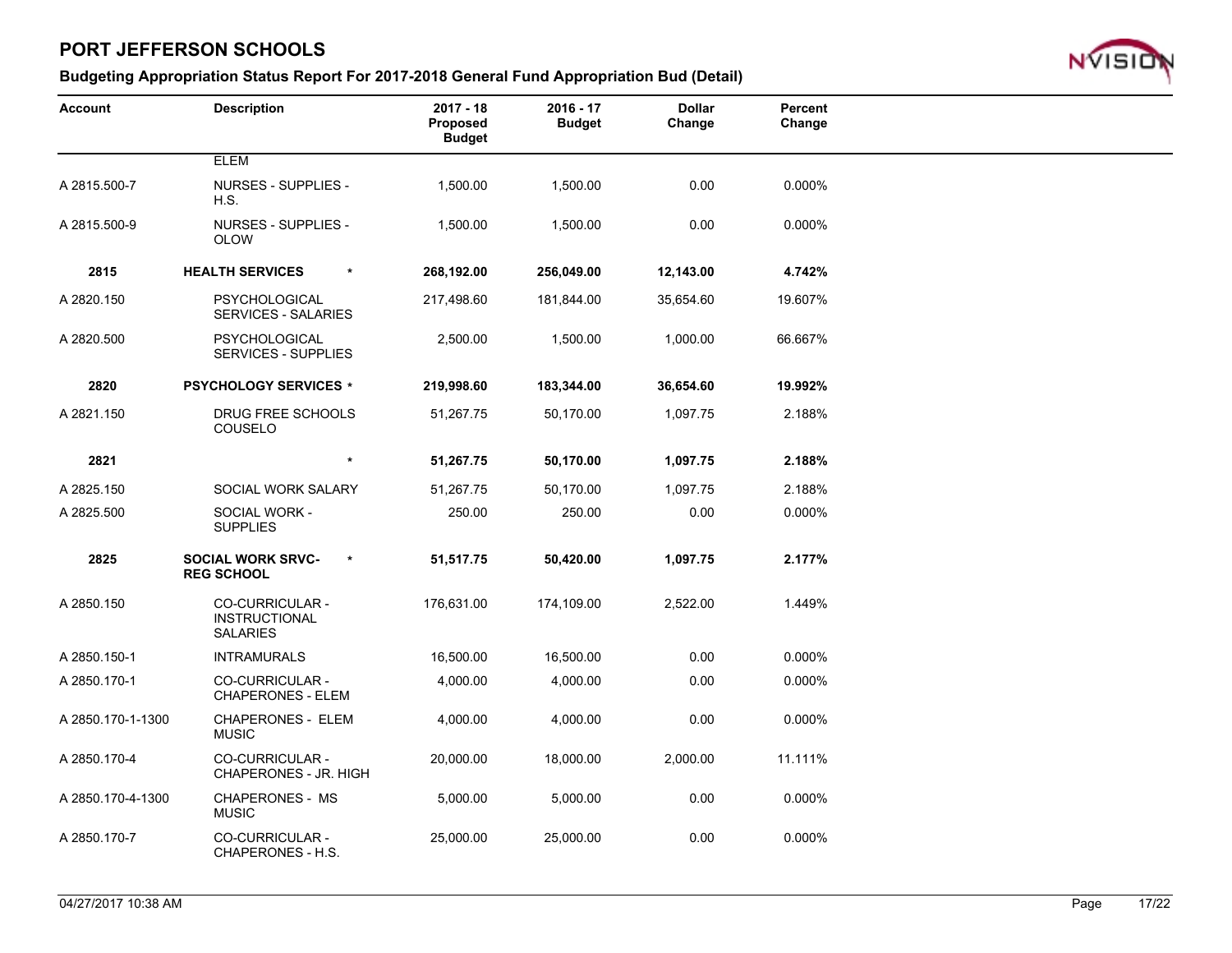

| <b>Account</b>    | <b>Description</b>                                                | $2017 - 18$<br>Proposed<br><b>Budget</b> | $2016 - 17$<br><b>Budget</b> | <b>Dollar</b><br>Change | Percent<br>Change |  |
|-------------------|-------------------------------------------------------------------|------------------------------------------|------------------------------|-------------------------|-------------------|--|
|                   | <b>ELEM</b>                                                       |                                          |                              |                         |                   |  |
| A 2815.500-7      | <b>NURSES - SUPPLIES -</b><br>H.S.                                | 1,500.00                                 | 1,500.00                     | 0.00                    | 0.000%            |  |
| A 2815.500-9      | NURSES - SUPPLIES -<br><b>OLOW</b>                                | 1,500.00                                 | 1,500.00                     | 0.00                    | 0.000%            |  |
| 2815              | <b>HEALTH SERVICES</b><br>$\pmb{\ast}$                            | 268,192.00                               | 256,049.00                   | 12,143.00               | 4.742%            |  |
| A 2820.150        | <b>PSYCHOLOGICAL</b><br><b>SERVICES - SALARIES</b>                | 217,498.60                               | 181,844.00                   | 35,654.60               | 19.607%           |  |
| A 2820.500        | <b>PSYCHOLOGICAL</b><br><b>SERVICES - SUPPLIES</b>                | 2,500.00                                 | 1,500.00                     | 1,000.00                | 66.667%           |  |
| 2820              | <b>PSYCHOLOGY SERVICES *</b>                                      | 219,998.60                               | 183,344.00                   | 36,654.60               | 19.992%           |  |
| A 2821.150        | DRUG FREE SCHOOLS<br>COUSELO                                      | 51,267.75                                | 50,170.00                    | 1,097.75                | 2.188%            |  |
| 2821              | $\star$                                                           | 51,267.75                                | 50,170.00                    | 1,097.75                | 2.188%            |  |
| A 2825.150        | SOCIAL WORK SALARY                                                | 51,267.75                                | 50,170.00                    | 1,097.75                | 2.188%            |  |
| A 2825.500        | SOCIAL WORK -<br><b>SUPPLIES</b>                                  | 250.00                                   | 250.00                       | 0.00                    | 0.000%            |  |
| 2825              | <b>SOCIAL WORK SRVC-</b><br>$\star$<br><b>REG SCHOOL</b>          | 51,517.75                                | 50,420.00                    | 1,097.75                | 2.177%            |  |
| A 2850.150        | <b>CO-CURRICULAR -</b><br><b>INSTRUCTIONAL</b><br><b>SALARIES</b> | 176,631.00                               | 174,109.00                   | 2,522.00                | 1.449%            |  |
| A 2850.150-1      | <b>INTRAMURALS</b>                                                | 16,500.00                                | 16,500.00                    | 0.00                    | 0.000%            |  |
| A 2850.170-1      | <b>CO-CURRICULAR -</b><br><b>CHAPERONES - ELEM</b>                | 4,000.00                                 | 4,000.00                     | 0.00                    | 0.000%            |  |
| A 2850.170-1-1300 | <b>CHAPERONES - ELEM</b><br><b>MUSIC</b>                          | 4,000.00                                 | 4,000.00                     | 0.00                    | 0.000%            |  |
| A 2850.170-4      | CO-CURRICULAR -<br>CHAPERONES - JR. HIGH                          | 20,000.00                                | 18,000.00                    | 2,000.00                | 11.111%           |  |
| A 2850.170-4-1300 | <b>CHAPERONES - MS</b><br><b>MUSIC</b>                            | 5,000.00                                 | 5,000.00                     | 0.00                    | 0.000%            |  |
| A 2850.170-7      | CO-CURRICULAR -<br>CHAPERONES - H.S.                              | 25,000.00                                | 25,000.00                    | 0.00                    | 0.000%            |  |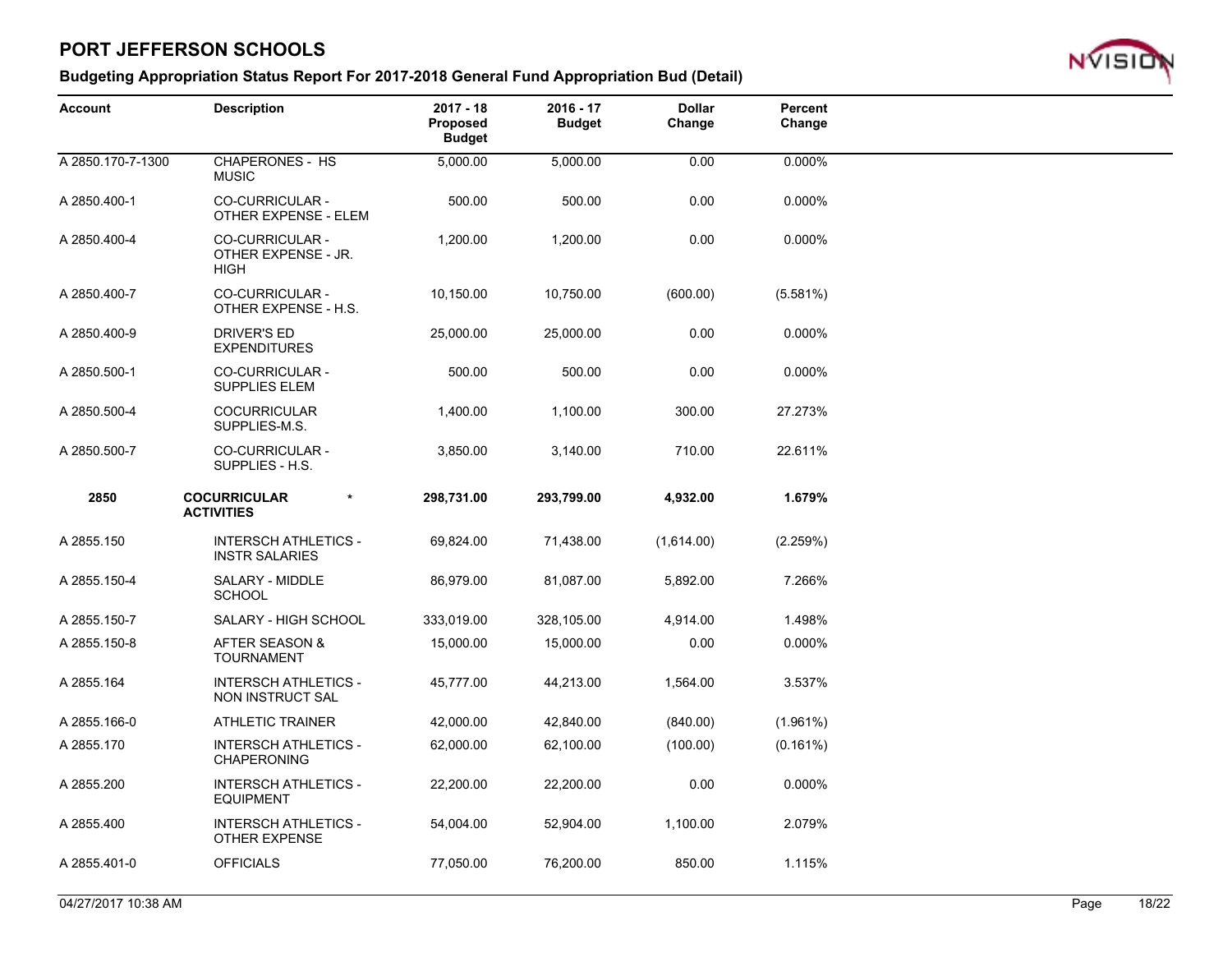

| <b>Account</b>    | <b>Description</b>                                           | $2017 - 18$<br>Proposed<br><b>Budget</b> | 2016 - 17<br><b>Budget</b> | <b>Dollar</b><br>Change | Percent<br>Change |  |
|-------------------|--------------------------------------------------------------|------------------------------------------|----------------------------|-------------------------|-------------------|--|
| A 2850.170-7-1300 | <b>CHAPERONES - HS</b><br><b>MUSIC</b>                       | 5,000.00                                 | 5,000.00                   | 0.00                    | 0.000%            |  |
| A 2850.400-1      | CO-CURRICULAR -<br>OTHER EXPENSE - ELEM                      | 500.00                                   | 500.00                     | 0.00                    | 0.000%            |  |
| A 2850.400-4      | <b>CO-CURRICULAR -</b><br>OTHER EXPENSE - JR.<br><b>HIGH</b> | 1,200.00                                 | 1,200.00                   | 0.00                    | 0.000%            |  |
| A 2850.400-7      | CO-CURRICULAR -<br>OTHER EXPENSE - H.S.                      | 10,150.00                                | 10,750.00                  | (600.00)                | (5.581%)          |  |
| A 2850.400-9      | <b>DRIVER'S ED</b><br><b>EXPENDITURES</b>                    | 25,000.00                                | 25,000.00                  | 0.00                    | 0.000%            |  |
| A 2850.500-1      | CO-CURRICULAR -<br><b>SUPPLIES ELEM</b>                      | 500.00                                   | 500.00                     | 0.00                    | 0.000%            |  |
| A 2850.500-4      | <b>COCURRICULAR</b><br>SUPPLIES-M.S.                         | 1,400.00                                 | 1,100.00                   | 300.00                  | 27.273%           |  |
| A 2850.500-7      | CO-CURRICULAR -<br>SUPPLIES - H.S.                           | 3,850.00                                 | 3,140.00                   | 710.00                  | 22.611%           |  |
| 2850              | <b>COCURRICULAR</b><br>$\star$<br><b>ACTIVITIES</b>          | 298,731.00                               | 293,799.00                 | 4,932.00                | 1.679%            |  |
| A 2855.150        | <b>INTERSCH ATHLETICS -</b><br><b>INSTR SALARIES</b>         | 69,824.00                                | 71,438.00                  | (1,614.00)              | (2.259%)          |  |
| A 2855.150-4      | SALARY - MIDDLE<br><b>SCHOOL</b>                             | 86,979.00                                | 81,087.00                  | 5,892.00                | 7.266%            |  |
| A 2855.150-7      | SALARY - HIGH SCHOOL                                         | 333,019.00                               | 328,105.00                 | 4,914.00                | 1.498%            |  |
| A 2855.150-8      | AFTER SEASON &<br><b>TOURNAMENT</b>                          | 15,000.00                                | 15,000.00                  | 0.00                    | 0.000%            |  |
| A 2855.164        | <b>INTERSCH ATHLETICS -</b><br>NON INSTRUCT SAL              | 45,777.00                                | 44,213.00                  | 1,564.00                | 3.537%            |  |
| A 2855.166-0      | ATHLETIC TRAINER                                             | 42,000.00                                | 42,840.00                  | (840.00)                | $(1.961\%)$       |  |
| A 2855.170        | <b>INTERSCH ATHLETICS -</b><br><b>CHAPERONING</b>            | 62,000.00                                | 62,100.00                  | (100.00)                | $(0.161\%)$       |  |
| A 2855.200        | <b>INTERSCH ATHLETICS -</b><br><b>EQUIPMENT</b>              | 22,200.00                                | 22,200.00                  | 0.00                    | 0.000%            |  |
| A 2855.400        | <b>INTERSCH ATHLETICS -</b><br><b>OTHER EXPENSE</b>          | 54,004.00                                | 52,904.00                  | 1,100.00                | 2.079%            |  |
| A 2855.401-0      | <b>OFFICIALS</b>                                             | 77,050.00                                | 76,200.00                  | 850.00                  | 1.115%            |  |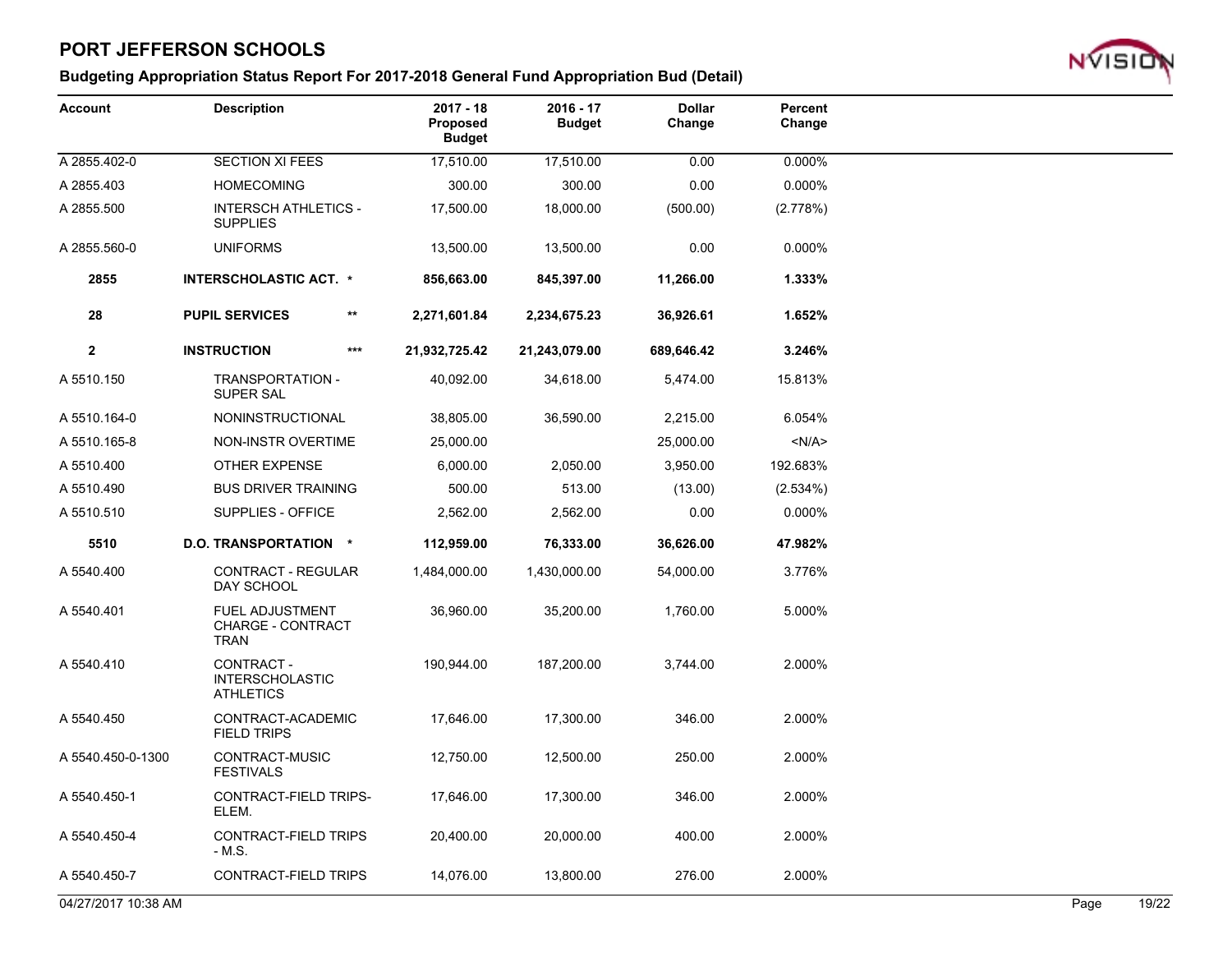

| <b>Account</b>      | <b>Description</b>                                                | $2017 - 18$<br><b>Proposed</b><br><b>Budget</b> | $2016 - 17$<br><b>Budget</b> | <b>Dollar</b><br>Change | Percent<br>Change |      |       |
|---------------------|-------------------------------------------------------------------|-------------------------------------------------|------------------------------|-------------------------|-------------------|------|-------|
| A 2855.402-0        | <b>SECTION XI FEES</b>                                            | 17,510.00                                       | 17,510.00                    | 0.00                    | 0.000%            |      |       |
| A 2855.403          | <b>HOMECOMING</b>                                                 | 300.00                                          | 300.00                       | 0.00                    | 0.000%            |      |       |
| A 2855.500          | <b>INTERSCH ATHLETICS -</b><br><b>SUPPLIES</b>                    | 17,500.00                                       | 18,000.00                    | (500.00)                | (2.778%)          |      |       |
| A 2855.560-0        | <b>UNIFORMS</b>                                                   | 13,500.00                                       | 13,500.00                    | 0.00                    | 0.000%            |      |       |
| 2855                | <b>INTERSCHOLASTIC ACT. *</b>                                     | 856,663.00                                      | 845,397.00                   | 11,266.00               | 1.333%            |      |       |
| 28                  | <b>PUPIL SERVICES</b>                                             | $***$<br>2,271,601.84                           | 2,234,675.23                 | 36,926.61               | 1.652%            |      |       |
| $\mathbf{2}$        | <b>INSTRUCTION</b>                                                | $***$<br>21,932,725.42                          | 21,243,079.00                | 689,646.42              | 3.246%            |      |       |
| A 5510.150          | TRANSPORTATION -<br><b>SUPER SAL</b>                              | 40,092.00                                       | 34,618.00                    | 5,474.00                | 15.813%           |      |       |
| A 5510.164-0        | NONINSTRUCTIONAL                                                  | 38,805.00                                       | 36,590.00                    | 2,215.00                | 6.054%            |      |       |
| A 5510.165-8        | <b>NON-INSTR OVERTIME</b>                                         | 25,000.00                                       |                              | 25,000.00               | < N/A >           |      |       |
| A 5510.400          | <b>OTHER EXPENSE</b>                                              | 6,000.00                                        | 2,050.00                     | 3,950.00                | 192.683%          |      |       |
| A 5510.490          | <b>BUS DRIVER TRAINING</b>                                        | 500.00                                          | 513.00                       | (13.00)                 | (2.534%)          |      |       |
| A 5510.510          | SUPPLIES - OFFICE                                                 | 2,562.00                                        | 2,562.00                     | 0.00                    | 0.000%            |      |       |
| 5510                | D.O. TRANSPORTATION *                                             | 112,959.00                                      | 76,333.00                    | 36,626.00               | 47.982%           |      |       |
| A 5540.400          | <b>CONTRACT - REGULAR</b><br>DAY SCHOOL                           | 1,484,000.00                                    | 1,430,000.00                 | 54,000.00               | 3.776%            |      |       |
| A 5540.401          | <b>FUEL ADJUSTMENT</b><br><b>CHARGE - CONTRACT</b><br><b>TRAN</b> | 36,960.00                                       | 35,200.00                    | 1,760.00                | 5.000%            |      |       |
| A 5540.410          | CONTRACT -<br><b>INTERSCHOLASTIC</b><br><b>ATHLETICS</b>          | 190,944.00                                      | 187,200.00                   | 3,744.00                | 2.000%            |      |       |
| A 5540.450          | CONTRACT-ACADEMIC<br><b>FIELD TRIPS</b>                           | 17,646.00                                       | 17,300.00                    | 346.00                  | 2.000%            |      |       |
| A 5540.450-0-1300   | CONTRACT-MUSIC<br><b>FESTIVALS</b>                                | 12,750.00                                       | 12,500.00                    | 250.00                  | 2.000%            |      |       |
| A 5540.450-1        | CONTRACT-FIELD TRIPS-<br>ELEM.                                    | 17,646.00                                       | 17,300.00                    | 346.00                  | 2.000%            |      |       |
| A 5540.450-4        | <b>CONTRACT-FIELD TRIPS</b><br>- M.S.                             | 20,400.00                                       | 20,000.00                    | 400.00                  | 2.000%            |      |       |
| A 5540.450-7        | CONTRACT-FIELD TRIPS                                              | 14,076.00                                       | 13,800.00                    | 276.00                  | 2.000%            |      |       |
| 04/27/2017 10:38 AM |                                                                   |                                                 |                              |                         |                   | Page | 19/22 |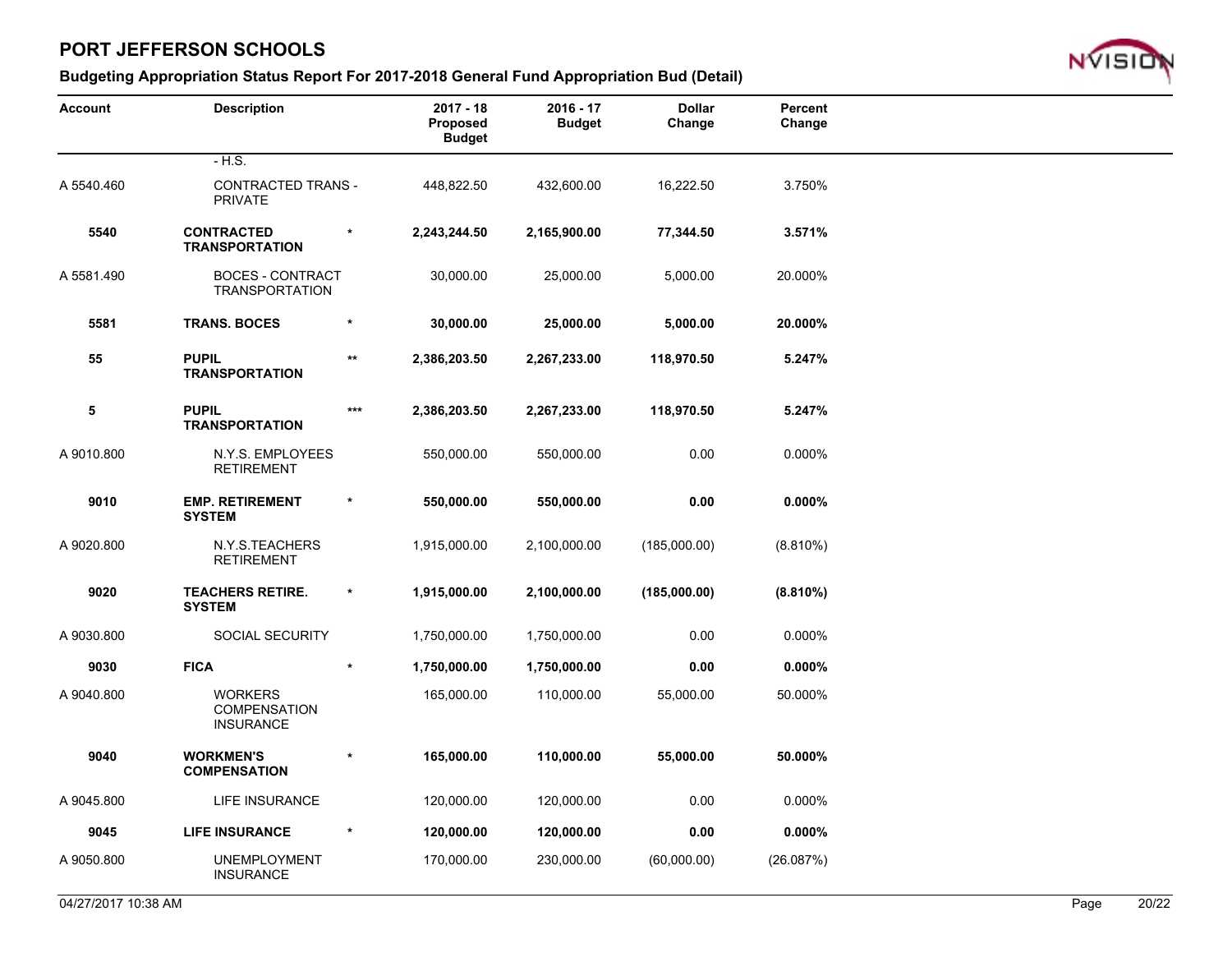

| <b>Account</b> | <b>Description</b>                                 |         | $2017 - 18$<br>Proposed<br><b>Budget</b> | $2016 - 17$<br><b>Budget</b> | <b>Dollar</b><br>Change | Percent<br>Change |  |
|----------------|----------------------------------------------------|---------|------------------------------------------|------------------------------|-------------------------|-------------------|--|
|                | $-H.S.$                                            |         |                                          |                              |                         |                   |  |
| A 5540.460     | CONTRACTED TRANS -<br><b>PRIVATE</b>               |         | 448,822.50                               | 432,600.00                   | 16,222.50               | 3.750%            |  |
| 5540           | <b>CONTRACTED</b><br><b>TRANSPORTATION</b>         | $^\ast$ | 2,243,244.50                             | 2,165,900.00                 | 77,344.50               | 3.571%            |  |
| A 5581.490     | <b>BOCES - CONTRACT</b><br><b>TRANSPORTATION</b>   |         | 30,000.00                                | 25,000.00                    | 5,000.00                | 20.000%           |  |
| 5581           | <b>TRANS. BOCES</b>                                |         | 30,000.00                                | 25,000.00                    | 5,000.00                | 20.000%           |  |
| 55             | <b>PUPIL</b><br><b>TRANSPORTATION</b>              | **      | 2,386,203.50                             | 2,267,233.00                 | 118,970.50              | 5.247%            |  |
| 5              | <b>PUPIL</b><br><b>TRANSPORTATION</b>              | ***     | 2,386,203.50                             | 2,267,233.00                 | 118,970.50              | 5.247%            |  |
| A 9010.800     | N.Y.S. EMPLOYEES<br><b>RETIREMENT</b>              |         | 550,000.00                               | 550,000.00                   | 0.00                    | 0.000%            |  |
| 9010           | <b>EMP. RETIREMENT</b><br><b>SYSTEM</b>            | $\ast$  | 550,000.00                               | 550,000.00                   | 0.00                    | $0.000\%$         |  |
| A 9020.800     | N.Y.S.TEACHERS<br><b>RETIREMENT</b>                |         | 1,915,000.00                             | 2,100,000.00                 | (185,000.00)            | $(8.810\%)$       |  |
| 9020           | <b>TEACHERS RETIRE.</b><br><b>SYSTEM</b>           | $\star$ | 1,915,000.00                             | 2,100,000.00                 | (185,000.00)            | (8.810%)          |  |
| A 9030.800     | SOCIAL SECURITY                                    |         | 1,750,000.00                             | 1,750,000.00                 | 0.00                    | 0.000%            |  |
| 9030           | <b>FICA</b>                                        | $\ast$  | 1,750,000.00                             | 1,750,000.00                 | 0.00                    | $0.000\%$         |  |
| A 9040.800     | <b>WORKERS</b><br>COMPENSATION<br><b>INSURANCE</b> |         | 165,000.00                               | 110,000.00                   | 55,000.00               | 50.000%           |  |
| 9040           | <b>WORKMEN'S</b><br><b>COMPENSATION</b>            |         | 165,000.00                               | 110,000.00                   | 55,000.00               | 50.000%           |  |
| A 9045.800     | LIFE INSURANCE                                     |         | 120,000.00                               | 120,000.00                   | 0.00                    | 0.000%            |  |
| 9045           | <b>LIFE INSURANCE</b>                              | $\star$ | 120,000.00                               | 120,000.00                   | 0.00                    | $0.000\%$         |  |
| A 9050.800     | <b>UNEMPLOYMENT</b><br><b>INSURANCE</b>            |         | 170,000.00                               | 230,000.00                   | (60,000.00)             | (26.087%)         |  |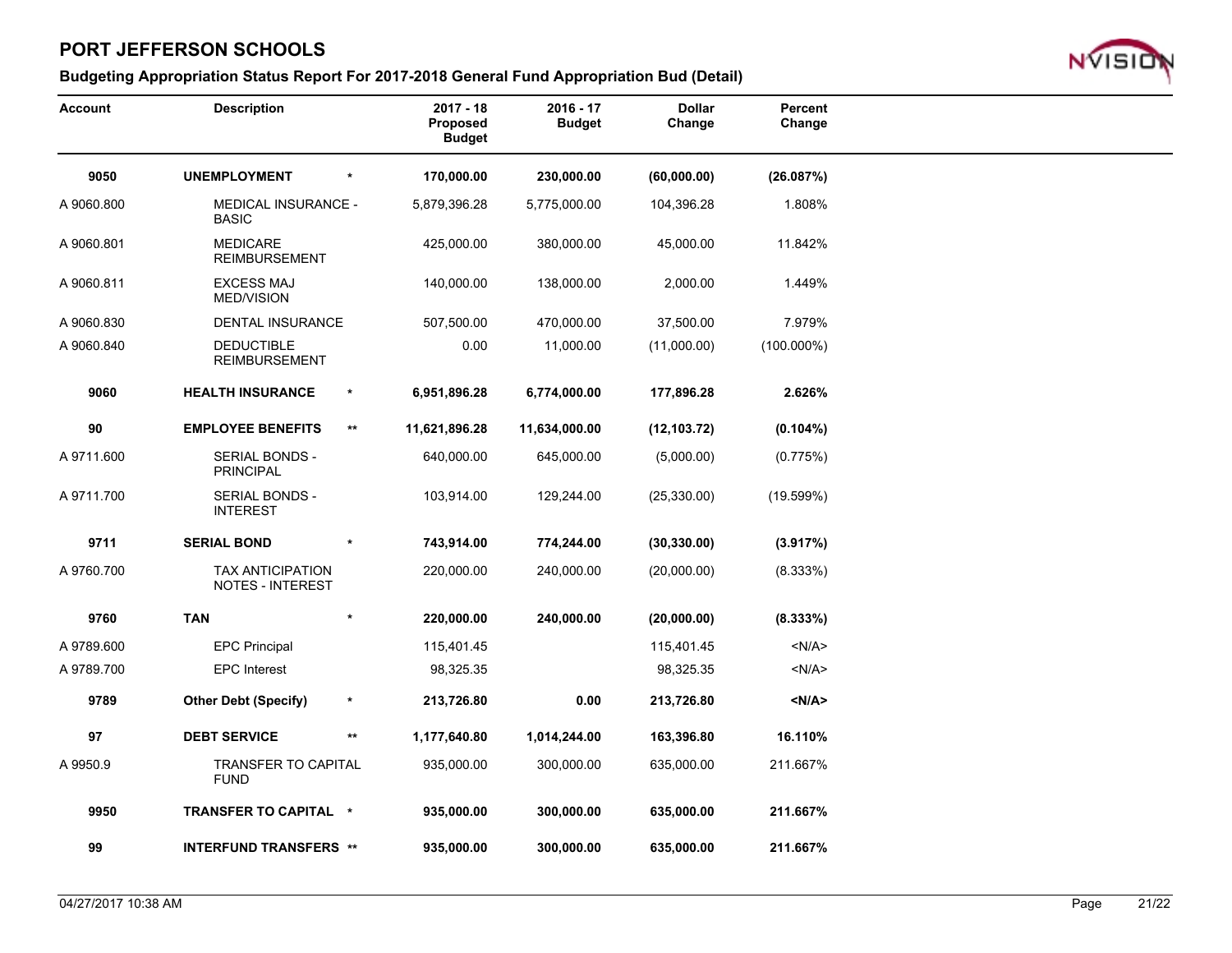

| <b>Account</b> | <b>Description</b>                          |                 | $2017 - 18$<br>Proposed<br><b>Budget</b> | $2016 - 17$<br><b>Budget</b> | <b>Dollar</b><br>Change | Percent<br>Change |
|----------------|---------------------------------------------|-----------------|------------------------------------------|------------------------------|-------------------------|-------------------|
| 9050           | <b>UNEMPLOYMENT</b>                         | $\star$         | 170,000.00                               | 230,000.00                   | (60,000.00)             | (26.087%)         |
| A 9060.800     | <b>MEDICAL INSURANCE -</b><br><b>BASIC</b>  |                 | 5,879,396.28                             | 5,775,000.00                 | 104,396.28              | 1.808%            |
| A 9060.801     | <b>MEDICARE</b><br><b>REIMBURSEMENT</b>     |                 | 425,000.00                               | 380,000.00                   | 45,000.00               | 11.842%           |
| A 9060.811     | <b>EXCESS MAJ</b><br><b>MED/VISION</b>      |                 | 140,000.00                               | 138,000.00                   | 2,000.00                | 1.449%            |
| A 9060.830     | <b>DENTAL INSURANCE</b>                     |                 | 507,500.00                               | 470,000.00                   | 37,500.00               | 7.979%            |
| A 9060.840     | <b>DEDUCTIBLE</b><br><b>REIMBURSEMENT</b>   |                 | 0.00                                     | 11,000.00                    | (11,000.00)             | $(100.000\%)$     |
| 9060           | <b>HEALTH INSURANCE</b>                     | $\star$         | 6,951,896.28                             | 6,774,000.00                 | 177,896.28              | 2.626%            |
| 90             | <b>EMPLOYEE BENEFITS</b>                    | $***$           | 11,621,896.28                            | 11,634,000.00                | (12, 103.72)            | $(0.104\%)$       |
| A 9711.600     | SERIAL BONDS -<br><b>PRINCIPAL</b>          |                 | 640,000.00                               | 645,000.00                   | (5,000.00)              | (0.775%)          |
| A 9711.700     | <b>SERIAL BONDS -</b><br><b>INTEREST</b>    |                 | 103,914.00                               | 129,244.00                   | (25, 330.00)            | (19.599%)         |
| 9711           | <b>SERIAL BOND</b>                          | $\star$         | 743,914.00                               | 774,244.00                   | (30, 330.00)            | (3.917%)          |
| A 9760.700     | TAX ANTICIPATION<br><b>NOTES - INTEREST</b> |                 | 220,000.00                               | 240,000.00                   | (20,000.00)             | (8.333%)          |
| 9760           | <b>TAN</b>                                  | $\star$         | 220,000.00                               | 240,000.00                   | (20,000.00)             | (8.333%)          |
| A 9789.600     | <b>EPC Principal</b>                        |                 | 115,401.45                               |                              | 115,401.45              | < N/A >           |
| A 9789.700     | <b>EPC</b> Interest                         |                 | 98,325.35                                |                              | 98,325.35               | $<$ N/A $>$       |
| 9789           | <b>Other Debt (Specify)</b>                 | $\star$         | 213,726.80                               | 0.00                         | 213,726.80              | < N/A >           |
| 97             | <b>DEBT SERVICE</b>                         | $^{\star\star}$ | 1,177,640.80                             | 1,014,244.00                 | 163,396.80              | 16.110%           |
| A 9950.9       | <b>TRANSFER TO CAPITAL</b><br><b>FUND</b>   |                 | 935,000.00                               | 300,000.00                   | 635,000.00              | 211.667%          |
| 9950           | TRANSFER TO CAPITAL *                       |                 | 935,000.00                               | 300,000.00                   | 635,000.00              | 211.667%          |
| 99             | <b>INTERFUND TRANSFERS **</b>               |                 | 935,000.00                               | 300,000.00                   | 635,000.00              | 211.667%          |